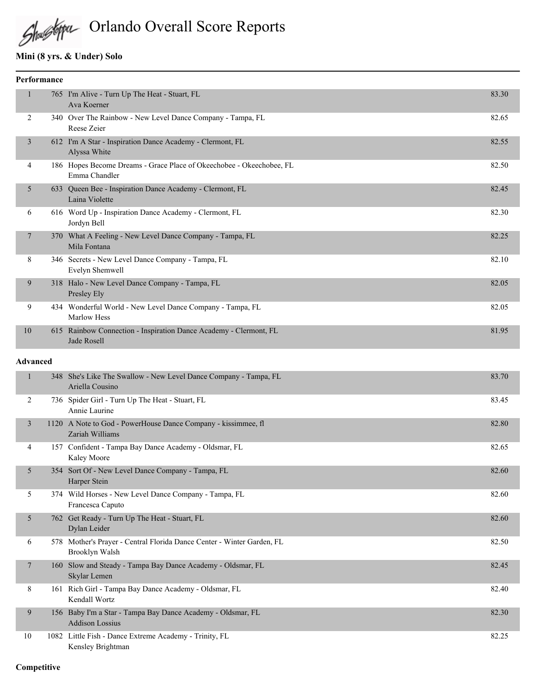

Orlando Overall Score Reports

### **Mini (8 yrs. & Under) Solo**

| <b>Performance</b> |                                                                                       |       |
|--------------------|---------------------------------------------------------------------------------------|-------|
|                    | 765 I'm Alive - Turn Up The Heat - Stuart, FL<br>Ava Koerner                          | 83.30 |
| 2                  | 340 Over The Rainbow - New Level Dance Company - Tampa, FL<br>Reese Zeier             | 82.65 |
| 3                  | 612 I'm A Star - Inspiration Dance Academy - Clermont, FL<br>Alyssa White             | 82.55 |
| 4                  | 186 Hopes Become Dreams - Grace Place of Okeechobee - Okeechobee, FL<br>Emma Chandler | 82.50 |
| 5                  | 633 Queen Bee - Inspiration Dance Academy - Clermont, FL<br>Laina Violette            | 82.45 |
| 6                  | 616 Word Up - Inspiration Dance Academy - Clermont, FL<br>Jordyn Bell                 | 82.30 |
| 7                  | 370 What A Feeling - New Level Dance Company - Tampa, FL<br>Mila Fontana              | 82.25 |
| 8                  | 346 Secrets - New Level Dance Company - Tampa, FL<br>Evelyn Shemwell                  | 82.10 |
| 9                  | 318 Halo - New Level Dance Company - Tampa, FL<br>Presley Ely                         | 82.05 |
| 9                  | 434 Wonderful World - New Level Dance Company - Tampa, FL<br><b>Marlow Hess</b>       | 82.05 |
| 10                 | 615 Rainbow Connection - Inspiration Dance Academy - Clermont, FL<br>Jade Rosell      | 81.95 |

#### **Advanced**

| $\mathbf{1}$ | 348 She's Like The Swallow - New Level Dance Company - Tampa, FL<br>Ariella Cousino      | 83.70 |
|--------------|------------------------------------------------------------------------------------------|-------|
| 2            | 736 Spider Girl - Turn Up The Heat - Stuart, FL<br>Annie Laurine                         | 83.45 |
| 3            | 1120 A Note to God - PowerHouse Dance Company - kissimmee, fl<br>Zariah Williams         | 82.80 |
| 4            | 157 Confident - Tampa Bay Dance Academy - Oldsmar, FL<br><b>Kaley Moore</b>              | 82.65 |
| 5            | 354 Sort Of - New Level Dance Company - Tampa, FL<br>Harper Stein                        | 82.60 |
| 5            | 374 Wild Horses - New Level Dance Company - Tampa, FL<br>Francesca Caputo                | 82.60 |
| 5            | 762 Get Ready - Turn Up The Heat - Stuart, FL<br>Dylan Leider                            | 82.60 |
| 6            | 578 Mother's Prayer - Central Florida Dance Center - Winter Garden, FL<br>Brooklyn Walsh | 82.50 |
| 7            | 160 Slow and Steady - Tampa Bay Dance Academy - Oldsmar, FL<br>Skylar Lemen              | 82.45 |
| 8            | 161 Rich Girl - Tampa Bay Dance Academy - Oldsmar, FL<br>Kendall Wortz                   | 82.40 |
| 9            | 156 Baby I'm a Star - Tampa Bay Dance Academy - Oldsmar, FL<br><b>Addison Lossius</b>    | 82.30 |
| 10           | 1082 Little Fish - Dance Extreme Academy - Trinity, FL<br>Kensley Brightman              | 82.25 |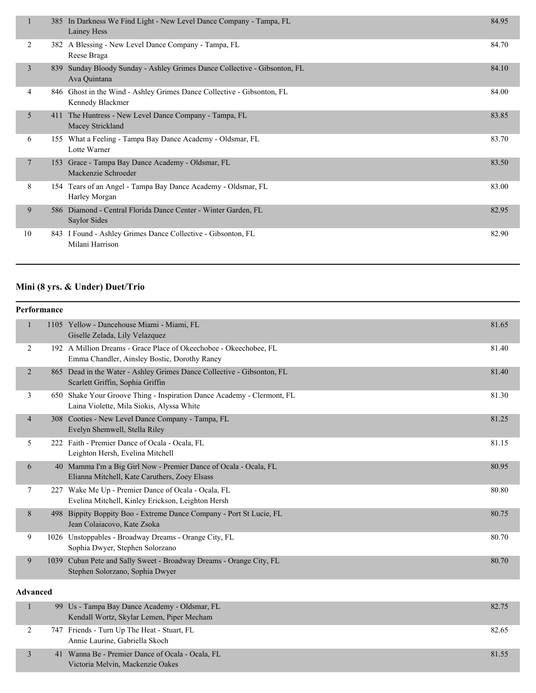|        |     | 385 In Darkness We Find Light - New Level Dance Company - Tampa, FL<br>Lainey Hess         | 84.95 |
|--------|-----|--------------------------------------------------------------------------------------------|-------|
| 2      |     | 382 A Blessing - New Level Dance Company - Tampa, FL<br>Reese Braga                        | 84.70 |
| 3      | 839 | Sunday Bloody Sunday - Ashley Grimes Dance Collective - Gibsonton, FL<br>Ava Quintana      | 84.10 |
| 4      |     | 846 Ghost in the Wind - Ashley Grimes Dance Collective - Gibsonton, FL<br>Kennedy Blackmer | 84.00 |
| 5      |     | 411 The Huntress - New Level Dance Company - Tampa, FL<br>Macey Strickland                 | 83.85 |
| 6      |     | 155 What a Feeling - Tampa Bay Dance Academy - Oldsmar, FL<br>Lotte Warner                 | 83.70 |
| $\tau$ | 153 | Grace - Tampa Bay Dance Academy - Oldsmar, FL<br>Mackenzie Schroeder                       | 83.50 |
| 8      |     | 154 Tears of an Angel - Tampa Bay Dance Academy - Oldsmar, FL<br>Harley Morgan             | 83.00 |
| 9      | 586 | Diamond - Central Florida Dance Center - Winter Garden, FL<br>Saylor Sides                 | 82.95 |
| 10     |     | 843 I Found - Ashley Grimes Dance Collective - Gibsonton, FL<br>Milani Harrison            | 82.90 |

# **Mini (8 yrs. & Under) Duet/Trio**

|                 | <b>Performance</b> |                                                                                                                     |       |
|-----------------|--------------------|---------------------------------------------------------------------------------------------------------------------|-------|
| $\mathbf{1}$    |                    | 1105 Yellow - Dancehouse Miami - Miami, FL<br>Giselle Zelada, Lily Velazquez                                        | 81.65 |
| 2               |                    | 192 A Million Dreams - Grace Place of Okeechobee - Okeechobee, FL<br>Emma Chandler, Ainsley Bostic, Dorothy Raney   | 81.40 |
| $\overline{2}$  |                    | 865 Dead in the Water - Ashley Grimes Dance Collective - Gibsonton, FL<br>Scarlett Griffin, Sophia Griffin          | 81.40 |
| 3               |                    | 650 Shake Your Groove Thing - Inspiration Dance Academy - Clermont, FL<br>Laina Violette, Mila Siokis, Alyssa White | 81.30 |
| $\overline{4}$  |                    | 308 Cooties - New Level Dance Company - Tampa, FL<br>Evelyn Shemwell, Stella Riley                                  | 81.25 |
| 5               |                    | 222 Faith - Premier Dance of Ocala - Ocala, FL<br>Leighton Hersh, Evelina Mitchell                                  | 81.15 |
| 6               |                    | 40 Mamma I'm a Big Girl Now - Premier Dance of Ocala - Ocala, FL<br>Elianna Mitchell, Kate Caruthers, Zoey Elsass   | 80.95 |
| $\tau$          |                    | 227 Wake Me Up - Premier Dance of Ocala - Ocala, FL<br>Evelina Mitchell, Kinley Erickson, Leighton Hersh            | 80.80 |
| 8               |                    | 498 Bippity Boppity Boo - Extreme Dance Company - Port St Lucie, FL<br>Jean Colaiacovo, Kate Zsoka                  | 80.75 |
| 9               |                    | 1026 Unstoppables - Broadway Dreams - Orange City, FL<br>Sophia Dwyer, Stephen Solorzano                            | 80.70 |
| 9               |                    | 1039 Cuban Pete and Sally Sweet - Broadway Dreams - Orange City, FL<br>Stephen Solorzano, Sophia Dwyer              | 80.70 |
| <b>Advanced</b> |                    |                                                                                                                     |       |
| $\mathbf{1}$    |                    | 99 Us - Tampa Bay Dance Academy - Oldsmar, FL<br>Kendall Wortz, Skylar Lemen, Piper Mecham                          | 82.75 |
| $\overline{c}$  |                    | 747 Friends - Turn Up The Heat - Stuart, FL<br>Annie Laurine, Gabriella Skoch                                       | 82.65 |

| Annie Laurine, Gabriella Skoc |
|-------------------------------|
|                               |

| 41 Wanna Be - Premier Dance of Ocala - Ocala, FL | 81.55 |
|--------------------------------------------------|-------|
| Victoria Melvin, Mackenzie Oakes                 |       |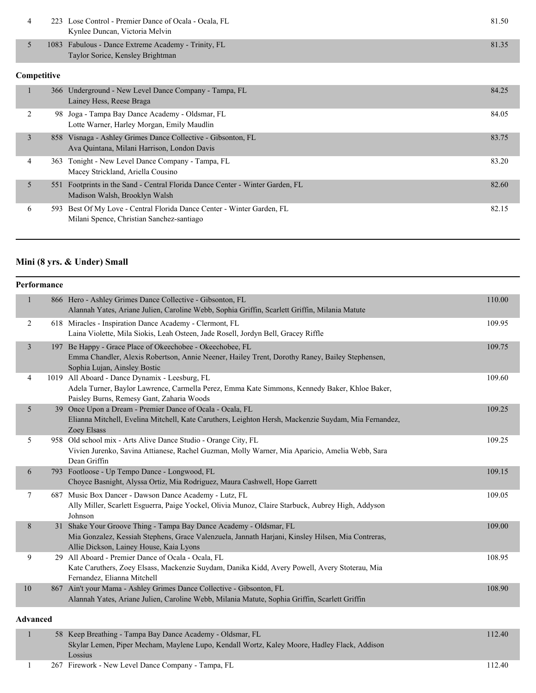|  | 223 Lose Control - Premier Dance of Ocala - Ocala, FL<br>Kynlee Duncan, Victoria Melvin | 81.50 |
|--|-----------------------------------------------------------------------------------------|-------|
|  | 1083 Fabulous - Dance Extreme Academy - Trinity, FL<br>Taylor Sorice, Kensley Brightman | 81.35 |
|  |                                                                                         |       |

### **Competitive**

|   | 366 Underground - New Level Dance Company - Tampa, FL<br>Lainey Hess, Reese Braga                                   | 84.25 |
|---|---------------------------------------------------------------------------------------------------------------------|-------|
| 2 | Joga - Tampa Bay Dance Academy - Oldsmar, FL<br>98.<br>Lotte Warner, Harley Morgan, Emily Maudlin                   | 84.05 |
| 3 | 858 Visnaga - Ashley Grimes Dance Collective - Gibsonton, FL<br>Ava Quintana, Milani Harrison, London Davis         | 83.75 |
| 4 | 363 Tonight - New Level Dance Company - Tampa, FL<br>Macey Strickland, Ariella Cousino                              | 83.20 |
| 5 | 551 Footprints in the Sand - Central Florida Dance Center - Winter Garden, FL<br>Madison Walsh, Brooklyn Walsh      | 82.60 |
| 6 | 593 Best Of My Love - Central Florida Dance Center - Winter Garden, FL<br>Milani Spence, Christian Sanchez-santiago | 82.15 |

### **Mini (8 yrs. & Under) Small**

|              | Performance |                                                                                                                              |        |
|--------------|-------------|------------------------------------------------------------------------------------------------------------------------------|--------|
| $\mathbf{1}$ |             | 866 Hero - Ashley Grimes Dance Collective - Gibsonton, FL                                                                    | 110.00 |
|              |             | Alannah Yates, Ariane Julien, Caroline Webb, Sophia Griffin, Scarlett Griffin, Milania Matute                                |        |
| 2            |             | 618 Miracles - Inspiration Dance Academy - Clermont, FL                                                                      | 109.95 |
|              |             | Laina Violette, Mila Siokis, Leah Osteen, Jade Rosell, Jordyn Bell, Gracey Riffle                                            |        |
| 3            |             | 197 Be Happy - Grace Place of Okeechobee - Okeechobee, FL                                                                    | 109.75 |
|              |             | Emma Chandler, Alexis Robertson, Annie Neener, Hailey Trent, Dorothy Raney, Bailey Stephensen,                               |        |
|              |             | Sophia Lujan, Ainsley Bostic                                                                                                 |        |
| 4            |             | 1019 All Aboard - Dance Dynamix - Leesburg, FL                                                                               | 109.60 |
|              |             | Adela Turner, Baylor Lawrence, Carmella Perez, Emma Kate Simmons, Kennedy Baker, Khloe Baker,                                |        |
|              |             | Paisley Burns, Remesy Gant, Zaharia Woods                                                                                    |        |
| 5            |             | 39 Once Upon a Dream - Premier Dance of Ocala - Ocala, FL                                                                    | 109.25 |
|              |             | Elianna Mitchell, Evelina Mitchell, Kate Caruthers, Leighton Hersh, Mackenzie Suydam, Mia Fernandez,<br>Zoey Elsass          |        |
| 5            |             | 958 Old school mix - Arts Alive Dance Studio - Orange City, FL                                                               | 109.25 |
|              |             | Vivien Jurenko, Savina Attianese, Rachel Guzman, Molly Warner, Mia Aparicio, Amelia Webb, Sara                               |        |
|              |             | Dean Griffin                                                                                                                 |        |
| 6            |             | 793 Footloose - Up Tempo Dance - Longwood, FL                                                                                | 109.15 |
|              |             | Choyce Basnight, Alyssa Ortiz, Mia Rodriguez, Maura Cashwell, Hope Garrett                                                   |        |
| 7            |             | 687 Music Box Dancer - Dawson Dance Academy - Lutz, FL                                                                       | 109.05 |
|              |             | Ally Miller, Scarlett Esguerra, Paige Yockel, Olivia Munoz, Claire Starbuck, Aubrey High, Addyson                            |        |
|              |             | Johnson                                                                                                                      |        |
| $8\,$        |             | 31 Shake Your Groove Thing - Tampa Bay Dance Academy - Oldsmar, FL                                                           | 109.00 |
|              |             | Mia Gonzalez, Kessiah Stephens, Grace Valenzuela, Jannath Harjani, Kinsley Hilsen, Mia Contreras,                            |        |
|              |             | Allie Dickson, Lainey House, Kaia Lyons                                                                                      |        |
| 9            | 29          | All Aboard - Premier Dance of Ocala - Ocala, FL                                                                              | 108.95 |
|              |             | Kate Caruthers, Zoey Elsass, Mackenzie Suydam, Danika Kidd, Avery Powell, Avery Stoterau, Mia<br>Fernandez, Elianna Mitchell |        |
| 10           |             | 867 Ain't your Mama - Ashley Grimes Dance Collective - Gibsonton, FL                                                         | 108.90 |
|              |             | Alannah Yates, Ariane Julien, Caroline Webb, Milania Matute, Sophia Griffin, Scarlett Griffin                                |        |
|              |             |                                                                                                                              |        |
| Advanced     |             |                                                                                                                              |        |
|              |             | 50 Vasu Duastline Taurus Day Danas Asadams Oldeman EI                                                                        | 112M   |

#### 112.40 S8 Keep Breathing - Tampa Bay Dance Academy - Oldsmar, FL 112.40 Skylar Lemen, Piper Mecham, Maylene Lupo, Kendall Wortz, Kaley Moore, Hadley Flack, Addison Lossius

1 267 Firework - New Level Dance Company - Tampa, FL 112.40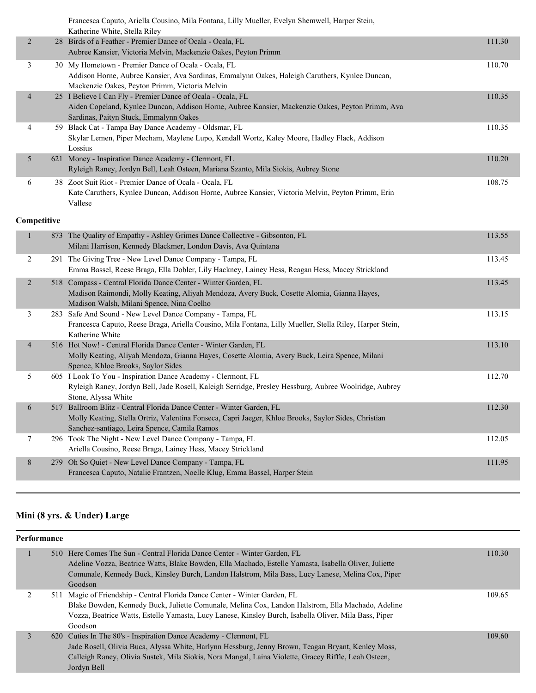|                | Francesca Caputo, Ariella Cousino, Mila Fontana, Lilly Mueller, Evelyn Shemwell, Harper Stein,<br>Katherine White, Stella Riley                                               |        |
|----------------|-------------------------------------------------------------------------------------------------------------------------------------------------------------------------------|--------|
| $\overline{2}$ | 28 Birds of a Feather - Premier Dance of Ocala - Ocala, FL                                                                                                                    | 111.30 |
|                | Aubree Kansier, Victoria Melvin, Mackenzie Oakes, Peyton Primm                                                                                                                |        |
| 3              | 30 My Hometown - Premier Dance of Ocala - Ocala, FL                                                                                                                           | 110.70 |
|                | Addison Horne, Aubree Kansier, Ava Sardinas, Emmalynn Oakes, Haleigh Caruthers, Kynlee Duncan,<br>Mackenzie Oakes, Peyton Primm, Victoria Melvin                              |        |
| $\overline{4}$ | 25 I Believe I Can Fly - Premier Dance of Ocala - Ocala, FL                                                                                                                   | 110.35 |
|                | Aiden Copeland, Kynlee Duncan, Addison Horne, Aubree Kansier, Mackenzie Oakes, Peyton Primm, Ava                                                                              |        |
|                | Sardinas, Paityn Stuck, Emmalynn Oakes                                                                                                                                        |        |
| 4              | 59 Black Cat - Tampa Bay Dance Academy - Oldsmar, FL<br>Skylar Lemen, Piper Mecham, Maylene Lupo, Kendall Wortz, Kaley Moore, Hadley Flack, Addison                           | 110.35 |
|                | Lossius                                                                                                                                                                       |        |
| 5              | 621 Money - Inspiration Dance Academy - Clermont, FL                                                                                                                          | 110.20 |
|                | Ryleigh Raney, Jordyn Bell, Leah Osteen, Mariana Szanto, Mila Siokis, Aubrey Stone                                                                                            |        |
| 6              | 38 Zoot Suit Riot - Premier Dance of Ocala - Ocala, FL                                                                                                                        | 108.75 |
|                | Kate Caruthers, Kynlee Duncan, Addison Horne, Aubree Kansier, Victoria Melvin, Peyton Primm, Erin<br>Vallese                                                                  |        |
|                |                                                                                                                                                                               |        |
| Competitive    |                                                                                                                                                                               |        |
| $\mathbf{1}$   | 873 The Quality of Empathy - Ashley Grimes Dance Collective - Gibsonton, FL                                                                                                   | 113.55 |
|                | Milani Harrison, Kennedy Blackmer, London Davis, Ava Quintana                                                                                                                 |        |
| $\overline{2}$ | 291 The Giving Tree - New Level Dance Company - Tampa, FL                                                                                                                     | 113.45 |
|                | Emma Bassel, Reese Braga, Ella Dobler, Lily Hackney, Lainey Hess, Reagan Hess, Macey Strickland                                                                               |        |
| $\overline{2}$ | 518 Compass - Central Florida Dance Center - Winter Garden, FL<br>Madison Raimondi, Molly Keating, Aliyah Mendoza, Avery Buck, Cosette Alomia, Gianna Hayes,                  | 113.45 |
|                | Madison Walsh, Milani Spence, Nina Coelho                                                                                                                                     |        |
| 3              | 283 Safe And Sound - New Level Dance Company - Tampa, FL                                                                                                                      | 113.15 |
|                | Francesca Caputo, Reese Braga, Ariella Cousino, Mila Fontana, Lilly Mueller, Stella Riley, Harper Stein,                                                                      |        |
|                | Katherine White                                                                                                                                                               |        |
| $\overline{4}$ | 516 Hot Now! - Central Florida Dance Center - Winter Garden, FL<br>Molly Keating, Aliyah Mendoza, Gianna Hayes, Cosette Alomia, Avery Buck, Leira Spence, Milani              | 113.10 |
|                | Spence, Khloe Brooks, Saylor Sides                                                                                                                                            |        |
| 5              | 605 I Look To You - Inspiration Dance Academy - Clermont, FL                                                                                                                  | 112.70 |
|                | Ryleigh Raney, Jordyn Bell, Jade Rosell, Kaleigh Serridge, Presley Hessburg, Aubree Woolridge, Aubrey                                                                         |        |
|                | Stone, Alyssa White                                                                                                                                                           | 112.30 |
| 6              | 517 Ballroom Blitz - Central Florida Dance Center - Winter Garden, FL<br>Molly Keating, Stella Ortriz, Valentina Fonseca, Capri Jaeger, Khloe Brooks, Saylor Sides, Christian |        |
|                | Sanchez-santiago, Leira Spence, Camila Ramos                                                                                                                                  |        |
| 7              | 296 Took The Night - New Level Dance Company - Tampa, FL                                                                                                                      | 112.05 |
|                | Ariella Cousino, Reese Braga, Lainey Hess, Macey Strickland                                                                                                                   |        |
| 8              | 279 Oh So Quiet - New Level Dance Company - Tampa, FL                                                                                                                         | 111.95 |
|                | Francesca Caputo, Natalie Frantzen, Noelle Klug, Emma Bassel, Harper Stein                                                                                                    |        |

# **Mini (8 yrs. & Under) Large**

| Performance |                                                                                                       |        |
|-------------|-------------------------------------------------------------------------------------------------------|--------|
|             | 510 Here Comes The Sun - Central Florida Dance Center - Winter Garden, FL                             | 110.30 |
|             | Adeline Vozza, Beatrice Watts, Blake Bowden, Ella Machado, Estelle Yamasta, Isabella Oliver, Juliette |        |
|             | Comunale, Kennedy Buck, Kinsley Burch, Landon Halstrom, Mila Bass, Lucy Lanese, Melina Cox, Piper     |        |
|             | Goodson                                                                                               |        |
|             | 511 Magic of Friendship - Central Florida Dance Center - Winter Garden, FL                            | 109.65 |
|             | Blake Bowden, Kennedy Buck, Juliette Comunale, Melina Cox, Landon Halstrom, Ella Machado, Adeline     |        |
|             | Vozza, Beatrice Watts, Estelle Yamasta, Lucy Lanese, Kinsley Burch, Isabella Oliver, Mila Bass, Piper |        |
|             | Goodson                                                                                               |        |
|             | 620 Cuties In The 80's - Inspiration Dance Academy - Clermont, FL                                     | 109.60 |
|             | Jade Rosell, Olivia Buca, Alyssa White, Harlynn Hessburg, Jenny Brown, Teagan Bryant, Kenley Moss,    |        |
|             | Calleigh Raney, Olivia Sustek, Mila Siokis, Nora Mangal, Laina Violette, Gracey Riffle, Leah Osteen,  |        |
|             | Jordyn Bell                                                                                           |        |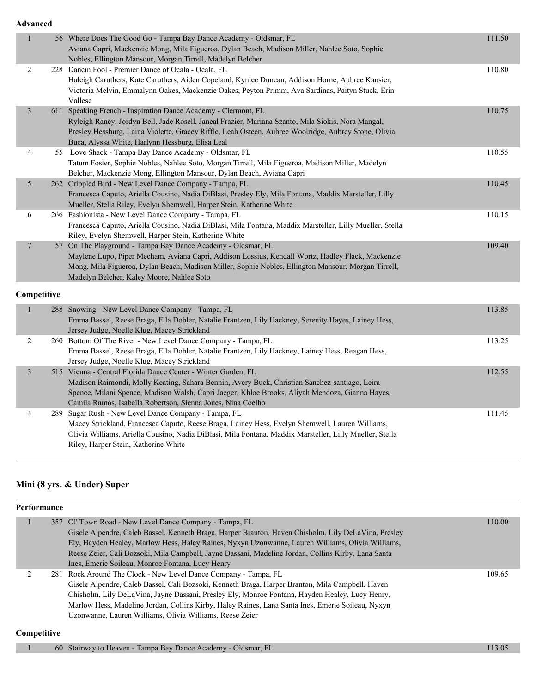**Advanced**

| www.co         |                                                                                                                                                                                                                                                                                                                                  |        |
|----------------|----------------------------------------------------------------------------------------------------------------------------------------------------------------------------------------------------------------------------------------------------------------------------------------------------------------------------------|--------|
| $\mathbf{1}$   | 56 Where Does The Good Go - Tampa Bay Dance Academy - Oldsmar, FL<br>Aviana Capri, Mackenzie Mong, Mila Figueroa, Dylan Beach, Madison Miller, Nahlee Soto, Sophie<br>Nobles, Ellington Mansour, Morgan Tirrell, Madelyn Belcher                                                                                                 | 111.50 |
| $\overline{2}$ | 228 Dancin Fool - Premier Dance of Ocala - Ocala, FL<br>Haleigh Caruthers, Kate Caruthers, Aiden Copeland, Kynlee Duncan, Addison Horne, Aubree Kansier,<br>Victoria Melvin, Emmalynn Oakes, Mackenzie Oakes, Peyton Primm, Ava Sardinas, Paityn Stuck, Erin<br>Vallese                                                          | 110.80 |
| $\mathfrak{Z}$ | 611 Speaking French - Inspiration Dance Academy - Clermont, FL<br>Ryleigh Raney, Jordyn Bell, Jade Rosell, Janeal Frazier, Mariana Szanto, Mila Siokis, Nora Mangal,<br>Presley Hessburg, Laina Violette, Gracey Riffle, Leah Osteen, Aubree Woolridge, Aubrey Stone, Olivia<br>Buca, Alyssa White, Harlynn Hessburg, Elisa Leal | 110.75 |
| 4              | 55 Love Shack - Tampa Bay Dance Academy - Oldsmar, FL<br>Tatum Foster, Sophie Nobles, Nahlee Soto, Morgan Tirrell, Mila Figueroa, Madison Miller, Madelyn<br>Belcher, Mackenzie Mong, Ellington Mansour, Dylan Beach, Aviana Capri                                                                                               | 110.55 |
| $5\,$          | 262 Crippled Bird - New Level Dance Company - Tampa, FL<br>Francesca Caputo, Ariella Cousino, Nadia DiBlasi, Presley Ely, Mila Fontana, Maddix Marsteller, Lilly<br>Mueller, Stella Riley, Evelyn Shemwell, Harper Stein, Katherine White                                                                                        | 110.45 |
| 6              | 266 Fashionista - New Level Dance Company - Tampa, FL<br>Francesca Caputo, Ariella Cousino, Nadia DiBlasi, Mila Fontana, Maddix Marsteller, Lilly Mueller, Stella<br>Riley, Evelyn Shemwell, Harper Stein, Katherine White                                                                                                       | 110.15 |
| $\tau$         | 57 On The Playground - Tampa Bay Dance Academy - Oldsmar, FL<br>Maylene Lupo, Piper Mecham, Aviana Capri, Addison Lossius, Kendall Wortz, Hadley Flack, Mackenzie<br>Mong, Mila Figueroa, Dylan Beach, Madison Miller, Sophie Nobles, Ellington Mansour, Morgan Tirrell,<br>Madelyn Belcher, Kaley Moore, Nahlee Soto            | 109.40 |
| Competitive    |                                                                                                                                                                                                                                                                                                                                  |        |
| $\mathbf{1}$   | 288 Snowing - New Level Dance Company - Tampa, FL<br>Emma Bassel, Reese Braga, Ella Dobler, Natalie Frantzen, Lily Hackney, Serenity Hayes, Lainey Hess,<br>Jersey Judge, Noelle Klug, Macey Strickland                                                                                                                          | 113.85 |
| $\overline{c}$ | 260 Bottom Of The River - New Level Dance Company - Tampa, FL<br>Emma Bassel, Reese Braga, Ella Dobler, Natalie Frantzen, Lily Hackney, Lainey Hess, Reagan Hess,<br>Jersey Judge, Noelle Klug, Macey Strickland                                                                                                                 | 113.25 |
| $\mathfrak{Z}$ | 515 Vienna - Central Florida Dance Center - Winter Garden, FL<br>Madison Raimondi, Molly Keating, Sahara Bennin, Avery Buck, Christian Sanchez-santiago, Leira<br>Spence, Milani Spence, Madison Walsh, Capri Jaeger, Khloe Brooks, Aliyah Mendoza, Gianna Hayes,<br>Camila Ramos, Isabella Robertson, Sienna Jones, Nina Coelho | 112.55 |
| 4              | 289 Sugar Rush - New Level Dance Company - Tampa, FL<br>Macey Strickland, Francesca Caputo, Reese Braga, Lainey Hess, Evelyn Shemwell, Lauren Williams,<br>Olivia Williams, Ariella Cousino, Nadia DiBlasi, Mila Fontana, Maddix Marsteller, Lilly Mueller, Stella<br>Riley, Harper Stein, Katherine White                       | 111.45 |

#### **Mini (8 yrs. & Under) Super**

**Performance** 1 357 Ol' Town Road - New Level Dance Company - Tampa, FL 110.00 and 110.00 Gisele Alpendre, Caleb Bassel, Kenneth Braga, Harper Branton, Haven Chisholm, Lily DeLaVina, Presley Ely, Hayden Healey, Marlow Hess, Haley Raines, Nyxyn Uzonwanne, Lauren Williams, Olivia Williams, Reese Zeier, Cali Bozsoki, Mila Campbell, Jayne Dassani, Madeline Jordan, Collins Kirby, Lana Santa Ines, Emerie Soileau, Monroe Fontana, Lucy Henry 2 281 Rock Around The Clock - New Level Dance Company - Tampa, FL 109.65 Gisele Alpendre, Caleb Bassel, Cali Bozsoki, Kenneth Braga, Harper Branton, Mila Campbell, Haven Chisholm, Lily DeLaVina, Jayne Dassani, Presley Ely, Monroe Fontana, Hayden Healey, Lucy Henry, Marlow Hess, Madeline Jordan, Collins Kirby, Haley Raines, Lana Santa Ines, Emerie Soileau, Nyxyn Uzonwanne, Lauren Williams, Olivia Williams, Reese Zeier

#### **Competitive**

1 60 Stairway to Heaven - Tampa Bay Dance Academy - Oldsmar, FL 113.05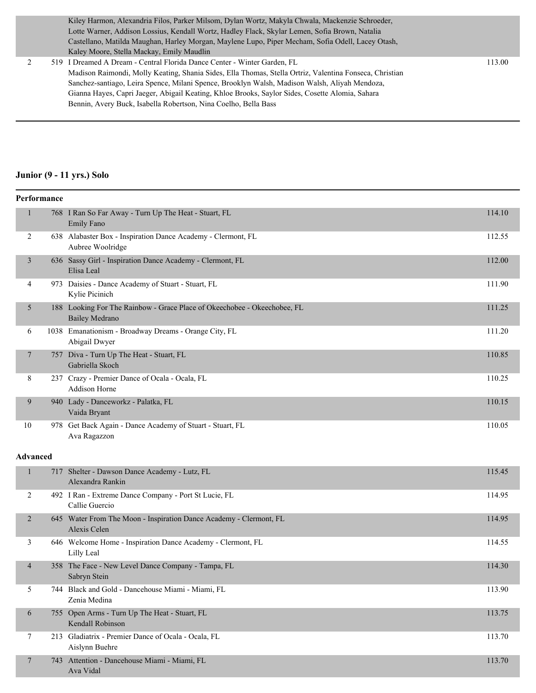Kiley Harmon, Alexandria Filos, Parker Milsom, Dylan Wortz, Makyla Chwala, Mackenzie Schroeder, Lotte Warner, Addison Lossius, Kendall Wortz, Hadley Flack, Skylar Lemen, Sofia Brown, Natalia Castellano, Matilda Maughan, Harley Morgan, Maylene Lupo, Piper Mecham, Sofia Odell, Lacey Otash, Kaley Moore, Stella Mackay, Emily Maudlin

2 519 I Dreamed A Dream - Central Florida Dance Center - Winter Garden, FL 113.00 Madison Raimondi, Molly Keating, Shania Sides, Ella Thomas, Stella Ortriz, Valentina Fonseca, Christian Sanchez-santiago, Leira Spence, Milani Spence, Brooklyn Walsh, Madison Walsh, Aliyah Mendoza, Gianna Hayes, Capri Jaeger, Abigail Keating, Khloe Brooks, Saylor Sides, Cosette Alomia, Sahara Bennin, Avery Buck, Isabella Robertson, Nina Coelho, Bella Bass

#### **Junior (9 - 11 yrs.) Solo**

|                 | Performance |                                                                                                   |        |  |  |
|-----------------|-------------|---------------------------------------------------------------------------------------------------|--------|--|--|
| 1               |             | 768 I Ran So Far Away - Turn Up The Heat - Stuart, FL<br>Emily Fano                               | 114.10 |  |  |
| 2               |             | 638 Alabaster Box - Inspiration Dance Academy - Clermont, FL<br>Aubree Woolridge                  | 112.55 |  |  |
| 3               |             | 636 Sassy Girl - Inspiration Dance Academy - Clermont, FL<br>Elisa Leal                           | 112.00 |  |  |
| 4               |             | 973 Daisies - Dance Academy of Stuart - Stuart, FL<br>Kylie Picinich                              | 111.90 |  |  |
| 5               |             | 188 Looking For The Rainbow - Grace Place of Okeechobee - Okeechobee, FL<br><b>Bailey Medrano</b> | 111.25 |  |  |
| 6               |             | 1038 Emanationism - Broadway Dreams - Orange City, FL<br>Abigail Dwyer                            | 111.20 |  |  |
| 7               |             | 757 Diva - Turn Up The Heat - Stuart, FL<br>Gabriella Skoch                                       | 110.85 |  |  |
| 8               |             | 237 Crazy - Premier Dance of Ocala - Ocala, FL<br><b>Addison Horne</b>                            | 110.25 |  |  |
| 9               |             | 940 Lady - Danceworkz - Palatka, FL<br>Vaida Bryant                                               | 110.15 |  |  |
| 10              |             | 978 Get Back Again - Dance Academy of Stuart - Stuart, FL<br>Ava Ragazzon                         | 110.05 |  |  |
| <b>Advanced</b> |             |                                                                                                   |        |  |  |
| $\mathbf{1}$    |             | 717 Shelter - Dawson Dance Academy - Lutz, FL<br>Alexandra Rankin                                 | 115.45 |  |  |
| 2               |             | 492 I Ran - Extreme Dance Company - Port St Lucie, FL<br>Callie Guercio                           | 114.95 |  |  |
| 2               |             | 645 Water From The Moon - Inspiration Dance Academy - Clermont, FL<br>Alexis Celen                | 114.95 |  |  |
| 3               |             | 646 Welcome Home - Inspiration Dance Academy - Clermont, FL<br>Lilly Leal                         | 114.55 |  |  |
| $\overline{4}$  |             | 358 The Face - New Level Dance Company - Tampa, FL<br>Sabryn Stein                                | 114.30 |  |  |
| 5               |             | 744 Black and Gold - Dancehouse Miami - Miami, FL<br>Zenia Medina                                 | 113.90 |  |  |
| 6               |             | 755 Open Arms - Turn Up The Heat - Stuart, FL<br>Kendall Robinson                                 | 113.75 |  |  |
| 7               |             | 213 Gladiatrix - Premier Dance of Ocala - Ocala, FL<br>Aislynn Buehre                             | 113.70 |  |  |
| $\overline{7}$  |             | 743 Attention - Dancehouse Miami - Miami, FL<br>Ava Vidal                                         | 113.70 |  |  |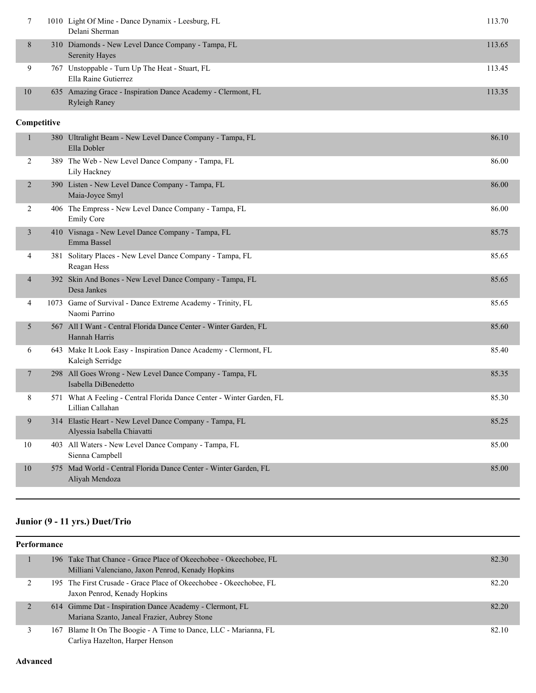|    | 1010 Light Of Mine - Dance Dynamix - Leesburg, FL<br>Delani Sherman                  | 113.70 |
|----|--------------------------------------------------------------------------------------|--------|
| 8  | 310 Diamonds - New Level Dance Company - Tampa, FL<br><b>Serenity Hayes</b>          | 113.65 |
|    | 767 Unstoppable - Turn Up The Heat - Stuart, FL<br>Ella Raine Gutierrez              | 113.45 |
| 10 | 635 Amazing Grace - Inspiration Dance Academy - Clermont, FL<br><b>Ryleigh Raney</b> | 113.35 |

### **Competitive**

| $\mathbf{1}$   | 380 Ultralight Beam - New Level Dance Company - Tampa, FL<br>Ella Dobler                  | 86.10 |
|----------------|-------------------------------------------------------------------------------------------|-------|
| 2              | 389 The Web - New Level Dance Company - Tampa, FL<br>Lily Hackney                         | 86.00 |
| 2              | 390 Listen - New Level Dance Company - Tampa, FL<br>Maia-Joyce Smyl                       | 86.00 |
| 2              | 406 The Empress - New Level Dance Company - Tampa, FL<br><b>Emily Core</b>                | 86.00 |
| 3              | 410 Visnaga - New Level Dance Company - Tampa, FL<br>Emma Bassel                          | 85.75 |
| $\overline{4}$ | 381 Solitary Places - New Level Dance Company - Tampa, FL<br>Reagan Hess                  | 85.65 |
| $\overline{4}$ | 392 Skin And Bones - New Level Dance Company - Tampa, FL<br>Desa Jankes                   | 85.65 |
| 4              | 1073 Game of Survival - Dance Extreme Academy - Trinity, FL<br>Naomi Parrino              | 85.65 |
| 5              | 567 All I Want - Central Florida Dance Center - Winter Garden, FL<br>Hannah Harris        | 85.60 |
| 6              | 643 Make It Look Easy - Inspiration Dance Academy - Clermont, FL<br>Kaleigh Serridge      | 85.40 |
| 7              | 298 All Goes Wrong - New Level Dance Company - Tampa, FL<br>Isabella DiBenedetto          | 85.35 |
| 8              | 571 What A Feeling - Central Florida Dance Center - Winter Garden, FL<br>Lillian Callahan | 85.30 |
| 9              | 314 Elastic Heart - New Level Dance Company - Tampa, FL<br>Alyessia Isabella Chiavatti    | 85.25 |
| 10             | 403 All Waters - New Level Dance Company - Tampa, FL<br>Sienna Campbell                   | 85.00 |
| 10             | 575 Mad World - Central Florida Dance Center - Winter Garden, FL<br>Aliyah Mendoza        | 85.00 |

# **Junior (9 - 11 yrs.) Duet/Trio**

|   | <b>Performance</b> |                                                                                                                        |       |  |  |
|---|--------------------|------------------------------------------------------------------------------------------------------------------------|-------|--|--|
|   |                    | 196 Take That Chance - Grace Place of Okeechobee - Okeechobee, FL<br>Milliani Valenciano, Jaxon Penrod, Kenady Hopkins | 82.30 |  |  |
|   |                    | 195 The First Crusade - Grace Place of Okeechobee - Okeechobee, FL<br>Jaxon Penrod, Kenady Hopkins                     | 82.20 |  |  |
| 2 |                    | 614 Gimme Dat - Inspiration Dance Academy - Clermont, FL<br>Mariana Szanto, Janeal Frazier, Aubrey Stone               | 82.20 |  |  |
|   |                    | 167 Blame It On The Boogie - A Time to Dance, LLC - Marianna, FL<br>Carliya Hazelton, Harper Henson                    | 82.10 |  |  |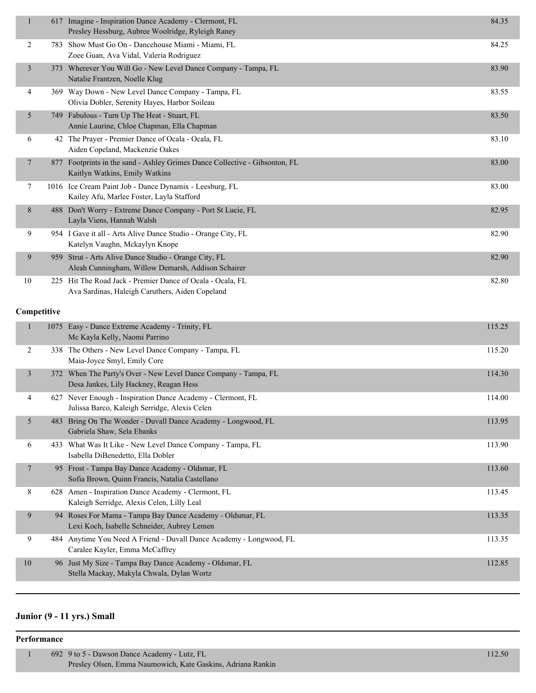| $\mathbf{1}$   |      | 617 Imagine - Inspiration Dance Academy - Clermont, FL<br>Presley Hessburg, Aubree Woolridge, Ryleigh Raney   | 84.35  |
|----------------|------|---------------------------------------------------------------------------------------------------------------|--------|
| 2              |      | 783 Show Must Go On - Dancehouse Miami - Miami, FL<br>Zoee Guan, Ava Vidal, Valeria Rodriguez                 | 84.25  |
| $\mathfrak{Z}$ |      | 373 Wherever You Will Go - New Level Dance Company - Tampa, FL<br>Natalie Frantzen, Noelle Klug               | 83.90  |
| 4              |      | 369 Way Down - New Level Dance Company - Tampa, FL<br>Olivia Dobler, Serenity Hayes, Harbor Soileau           | 83.55  |
| 5              | 749. | Fabulous - Turn Up The Heat - Stuart, FL<br>Annie Laurine, Chloe Chapman, Ella Chapman                        | 83.50  |
| 6              |      | 42 The Prayer - Premier Dance of Ocala - Ocala, FL<br>Aiden Copeland, Mackenzie Oakes                         | 83.10  |
| $\overline{7}$ |      | 877 Footprints in the sand - Ashley Grimes Dance Collective - Gibsonton, FL<br>Kaitlyn Watkins, Emily Watkins | 83.00  |
| 7              |      | 1016 Ice Cream Paint Job - Dance Dynamix - Leesburg, FL<br>Kailey Afu, Marlee Foster, Layla Stafford          | 83.00  |
| 8              |      | 488 Don't Worry - Extreme Dance Company - Port St Lucie, FL<br>Layla Viens, Hannah Walsh                      | 82.95  |
| 9              |      | 954 I Gave it all - Arts Alive Dance Studio - Orange City, FL<br>Katelyn Vaughn, Mckaylyn Knope               | 82.90  |
| 9              |      | 959 Strut - Arts Alive Dance Studio - Orange City, FL<br>Aleah Cunningham, Willow Demarsh, Addison Schairer   | 82.90  |
| 10             |      | 225 Hit The Road Jack - Premier Dance of Ocala - Ocala, FL<br>Ava Sardinas, Haleigh Caruthers, Aiden Copeland | 82.80  |
| Competitive    |      |                                                                                                               |        |
| 1              |      | 1075 Easy - Dance Extreme Academy - Trinity, FL<br>Mc Kayla Kelly, Naomi Parrino                              | 115.25 |
| 2              |      | 338 The Others - New Level Dance Company - Tampa, FL<br>Maia-Joyce Smyl, Emily Core                           | 115.20 |
| 3              |      | 372 When The Party's Over - New Level Dance Company - Tampa, FL<br>Desa Jankes, Lily Hackney, Reagan Hess     | 114.30 |
| 4              |      | 627 Never Enough - Inspiration Dance Academy - Clermont, FL<br>Julissa Barco, Kaleigh Serridge, Alexis Celen  | 114.00 |
| 5              |      | 483 Bring On The Wonder - Duvall Dance Academy - Longwood, FL<br>Gabriela Shaw, Sela Ebanks                   | 113.95 |
| 6              |      | 433 What Was It Like - New Level Dance Company - Tampa, FL<br>Isabella DiBenedetto, Ella Dobler               | 113.90 |
| 7              |      | 95 Frost - Tampa Bay Dance Academy - Oldsmar, FL<br>Sofia Brown, Quinn Francis, Natalia Castellano            | 113.60 |
| 8              |      | 628 Amen - Inspiration Dance Academy - Clermont, FL<br>Kaleigh Serridge, Alexis Celen, Lilly Leal             | 113.45 |
| 9              |      | 94 Roses For Mama - Tampa Bay Dance Academy - Oldsmar, FL<br>Lexi Koch, Isabelle Schneider, Aubrey Lemen      | 113.35 |
| 9              |      | 484 Anytime You Need A Friend - Duvall Dance Academy - Longwood, FL<br>Caralee Kayler, Emma McCaffrey         | 113.35 |
| 10             |      | 96 Just My Size - Tampa Bay Dance Academy - Oldsmar, FL<br>Stella Mackay, Makyla Chwala, Dylan Wortz          | 112.85 |
|                |      |                                                                                                               |        |

### **Junior (9 - 11 yrs.) Small**

#### **Performance**

1 692 9 to 5 - Dawson Dance Academy - Lutz, FL 112.50 Presley Olsen, Emma Naumowich, Kate Gaskins, Adriana Rankin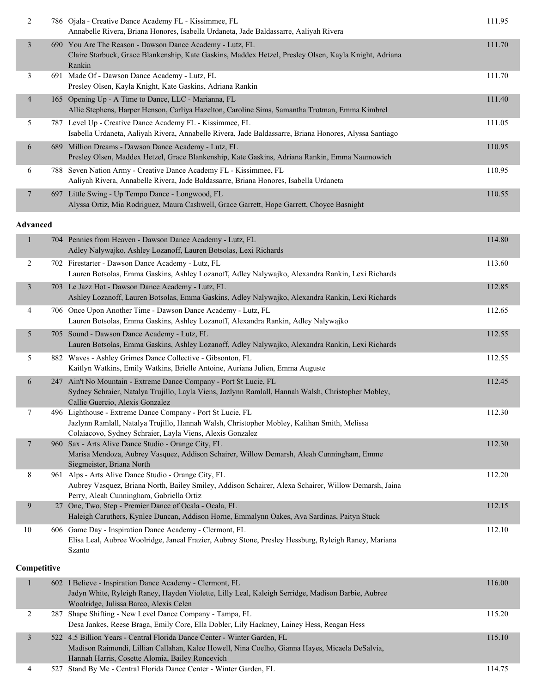| $\overline{2}$  | 786 Ojala - Creative Dance Academy FL - Kissimmee, FL<br>Annabelle Rivera, Briana Honores, Isabella Urdaneta, Jade Baldassarre, Aaliyah Rivera                                                                                | 111.95 |
|-----------------|-------------------------------------------------------------------------------------------------------------------------------------------------------------------------------------------------------------------------------|--------|
| $\mathfrak{Z}$  | 690 You Are The Reason - Dawson Dance Academy - Lutz, FL<br>Claire Starbuck, Grace Blankenship, Kate Gaskins, Maddex Hetzel, Presley Olsen, Kayla Knight, Adriana<br>Rankin                                                   | 111.70 |
| 3               | 691 Made Of - Dawson Dance Academy - Lutz, FL<br>Presley Olsen, Kayla Knight, Kate Gaskins, Adriana Rankin                                                                                                                    | 111.70 |
| 4               | 165 Opening Up - A Time to Dance, LLC - Marianna, FL<br>Allie Stephens, Harper Henson, Carliya Hazelton, Caroline Sims, Samantha Trotman, Emma Kimbrel                                                                        | 111.40 |
| 5               | 787 Level Up - Creative Dance Academy FL - Kissimmee, FL<br>Isabella Urdaneta, Aaliyah Rivera, Annabelle Rivera, Jade Baldassarre, Briana Honores, Alyssa Santiago                                                            | 111.05 |
| 6               | 689 Million Dreams - Dawson Dance Academy - Lutz, FL<br>Presley Olsen, Maddex Hetzel, Grace Blankenship, Kate Gaskins, Adriana Rankin, Emma Naumowich                                                                         | 110.95 |
| 6               | 788 Seven Nation Army - Creative Dance Academy FL - Kissimmee, FL<br>Aaliyah Rivera, Annabelle Rivera, Jade Baldassarre, Briana Honores, Isabella Urdaneta                                                                    | 110.95 |
| 7               | 697 Little Swing - Up Tempo Dance - Longwood, FL<br>Alyssa Ortiz, Mia Rodriguez, Maura Cashwell, Grace Garrett, Hope Garrett, Choyce Basnight                                                                                 | 110.55 |
| <b>Advanced</b> |                                                                                                                                                                                                                               |        |
| $\mathbf{1}$    | 704 Pennies from Heaven - Dawson Dance Academy - Lutz, FL<br>Adley Nalywajko, Ashley Lozanoff, Lauren Botsolas, Lexi Richards                                                                                                 | 114.80 |
| 2               | 702 Firestarter - Dawson Dance Academy - Lutz, FL<br>Lauren Botsolas, Emma Gaskins, Ashley Lozanoff, Adley Nalywajko, Alexandra Rankin, Lexi Richards                                                                         | 113.60 |
| $\mathfrak{Z}$  | 703 Le Jazz Hot - Dawson Dance Academy - Lutz, FL<br>Ashley Lozanoff, Lauren Botsolas, Emma Gaskins, Adley Nalywajko, Alexandra Rankin, Lexi Richards                                                                         | 112.85 |
| 4               | 706 Once Upon Another Time - Dawson Dance Academy - Lutz, FL<br>Lauren Botsolas, Emma Gaskins, Ashley Lozanoff, Alexandra Rankin, Adley Nalywajko                                                                             | 112.65 |
| 5               | 705 Sound - Dawson Dance Academy - Lutz, FL<br>Lauren Botsolas, Emma Gaskins, Ashley Lozanoff, Adley Nalywajko, Alexandra Rankin, Lexi Richards                                                                               | 112.55 |
| 5               | 882 Waves - Ashley Grimes Dance Collective - Gibsonton, FL<br>Kaitlyn Watkins, Emily Watkins, Brielle Antoine, Auriana Julien, Emma Auguste                                                                                   | 112.55 |
| 6               | 247 Ain't No Mountain - Extreme Dance Company - Port St Lucie, FL<br>Sydney Schraier, Natalya Trujillo, Layla Viens, Jazlynn Ramlall, Hannah Walsh, Christopher Mobley,<br>Callie Guercio, Alexis Gonzalez                    | 112.45 |
| $\tau$          | 496 Lighthouse - Extreme Dance Company - Port St Lucie, FL<br>Jazlynn Ramlall, Natalya Trujillo, Hannah Walsh, Christopher Mobley, Kalihan Smith, Melissa<br>Colaiacovo, Sydney Schraier, Layla Viens, Alexis Gonzalez        | 112.30 |
| 7               | 960 Sax - Arts Alive Dance Studio - Orange City, FL<br>Marisa Mendoza, Aubrey Vasquez, Addison Schairer, Willow Demarsh, Aleah Cunningham, Emme<br>Siegmeister, Briana North                                                  | 112.30 |
| 8               | 961 Alps - Arts Alive Dance Studio - Orange City, FL<br>Aubrey Vasquez, Briana North, Bailey Smiley, Addison Schairer, Alexa Schairer, Willow Demarsh, Jaina<br>Perry, Aleah Cunningham, Gabriella Ortiz                      | 112.20 |
| 9               | 27 One, Two, Step - Premier Dance of Ocala - Ocala, FL<br>Haleigh Caruthers, Kynlee Duncan, Addison Horne, Emmalynn Oakes, Ava Sardinas, Paityn Stuck                                                                         | 112.15 |
| 10              | 606 Game Day - Inspiration Dance Academy - Clermont, FL<br>Elisa Leal, Aubree Woolridge, Janeal Frazier, Aubrey Stone, Presley Hessburg, Ryleigh Raney, Mariana<br>Szanto                                                     | 112.10 |
| Competitive     |                                                                                                                                                                                                                               |        |
| $\mathbf{1}$    | 602 I Believe - Inspiration Dance Academy - Clermont, FL<br>Jadyn White, Ryleigh Raney, Hayden Violette, Lilly Leal, Kaleigh Serridge, Madison Barbie, Aubree<br>Woolridge, Julissa Barco, Alexis Celen                       | 116.00 |
| 2               | 287 Shape Shifting - New Level Dance Company - Tampa, FL<br>Desa Jankes, Reese Braga, Emily Core, Ella Dobler, Lily Hackney, Lainey Hess, Reagan Hess                                                                         | 115.20 |
| 3               | 522 4.5 Billion Years - Central Florida Dance Center - Winter Garden, FL<br>Madison Raimondi, Lillian Callahan, Kalee Howell, Nina Coelho, Gianna Hayes, Micaela DeSalvia,<br>Hannah Harris, Cosette Alomia, Bailey Roncevich | 115.10 |
| 4               | 527 Stand By Me - Central Florida Dance Center - Winter Garden, FL                                                                                                                                                            | 114.75 |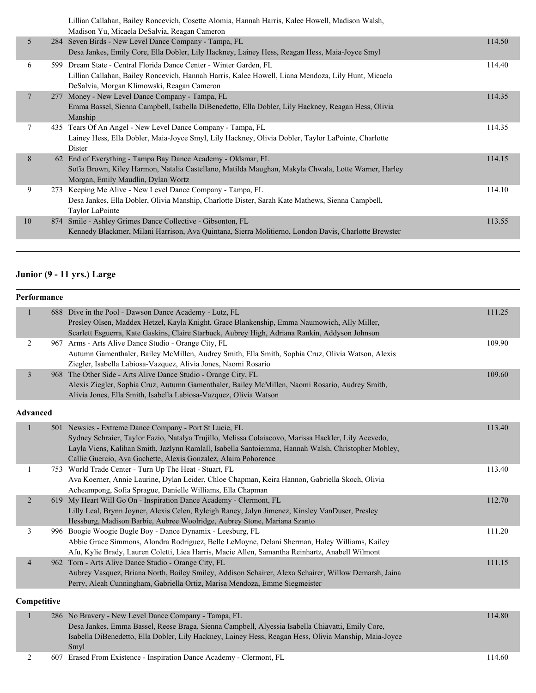|    |    | Lillian Callahan, Bailey Roncevich, Cosette Alomia, Hannah Harris, Kalee Howell, Madison Walsh,<br>Madison Yu, Micaela DeSalvia, Reagan Cameron                                                                        |        |
|----|----|------------------------------------------------------------------------------------------------------------------------------------------------------------------------------------------------------------------------|--------|
| 5  |    | 284 Seven Birds - New Level Dance Company - Tampa, FL<br>Desa Jankes, Emily Core, Ella Dobler, Lily Hackney, Lainey Hess, Reagan Hess, Maia-Joyce Smyl                                                                 | 114.50 |
| 6  |    | 599 Dream State - Central Florida Dance Center - Winter Garden, FL<br>Lillian Callahan, Bailey Roncevich, Hannah Harris, Kalee Howell, Liana Mendoza, Lily Hunt, Micaela<br>DeSalvia, Morgan Klimowski, Reagan Cameron | 114.40 |
| 7  |    | 277 Money - New Level Dance Company - Tampa, FL<br>Emma Bassel, Sienna Campbell, Isabella DiBenedetto, Ella Dobler, Lily Hackney, Reagan Hess, Olivia<br>Manship                                                       | 114.35 |
| 7  |    | 435 Tears Of An Angel - New Level Dance Company - Tampa, FL<br>Lainey Hess, Ella Dobler, Maia-Joyce Smyl, Lily Hackney, Olivia Dobler, Taylor LaPointe, Charlotte<br>Dister                                            | 114.35 |
| 8  | 62 | End of Everything - Tampa Bay Dance Academy - Oldsmar, FL<br>Sofia Brown, Kiley Harmon, Natalia Castellano, Matilda Maughan, Makyla Chwala, Lotte Warner, Harley<br>Morgan, Emily Maudlin, Dylan Wortz                 | 114.15 |
| 9  |    | 273 Keeping Me Alive - New Level Dance Company - Tampa, FL<br>Desa Jankes, Ella Dobler, Olivia Manship, Charlotte Dister, Sarah Kate Mathews, Sienna Campbell,<br>Taylor LaPointe                                      | 114.10 |
| 10 |    | 874 Smile - Ashley Grimes Dance Collective - Gibsonton, FL<br>Kennedy Blackmer, Milani Harrison, Ava Quintana, Sierra Molitierno, London Davis, Charlotte Brewster                                                     | 113.55 |
|    |    |                                                                                                                                                                                                                        |        |

## **Junior (9 - 11 yrs.) Large**

|                          | Performance     |                                                                                                                                                                                                                                                                                                                                          |        |
|--------------------------|-----------------|------------------------------------------------------------------------------------------------------------------------------------------------------------------------------------------------------------------------------------------------------------------------------------------------------------------------------------------|--------|
|                          |                 | 688 Dive in the Pool - Dawson Dance Academy - Lutz, FL<br>Presley Olsen, Maddex Hetzel, Kayla Knight, Grace Blankenship, Emma Naumowich, Ally Miller,<br>Scarlett Esguerra, Kate Gaskins, Claire Starbuck, Aubrey High, Adriana Rankin, Addyson Johnson                                                                                  | 111.25 |
| $\overline{2}$           |                 | 967 Arms - Arts Alive Dance Studio - Orange City, FL<br>Autumn Gamenthaler, Bailey McMillen, Audrey Smith, Ella Smith, Sophia Cruz, Olivia Watson, Alexis<br>Ziegler, Isabella Labiosa-Vazquez, Alivia Jones, Naomi Rosario                                                                                                              | 109.90 |
| $\overline{3}$           |                 | 968 The Other Side - Arts Alive Dance Studio - Orange City, FL<br>Alexis Ziegler, Sophia Cruz, Autumn Gamenthaler, Bailey McMillen, Naomi Rosario, Audrey Smith,<br>Alivia Jones, Ella Smith, Isabella Labiosa-Vazquez, Olivia Watson                                                                                                    | 109.60 |
|                          | <b>Advanced</b> |                                                                                                                                                                                                                                                                                                                                          |        |
|                          |                 | 501 Newsies - Extreme Dance Company - Port St Lucie, FL<br>Sydney Schraier, Taylor Fazio, Natalya Trujillo, Melissa Colaiacovo, Marissa Hackler, Lily Acevedo,<br>Layla Viens, Kalihan Smith, Jazlynn Ramlall, Isabella Santoiemma, Hannah Walsh, Christopher Mobley,<br>Callie Guercio, Ava Gachette, Alexis Gonzalez, Alaira Pohorence | 113.40 |
| 1                        |                 | 753 World Trade Center - Turn Up The Heat - Stuart, FL<br>Ava Koerner, Annie Laurine, Dylan Leider, Chloe Chapman, Keira Hannon, Gabriella Skoch, Olivia<br>Acheampong, Sofia Sprague, Danielle Williams, Ella Chapman                                                                                                                   | 113.40 |
| $\overline{2}$           |                 | 619 My Heart Will Go On - Inspiration Dance Academy - Clermont, FL<br>Lilly Leal, Brynn Joyner, Alexis Celen, Ryleigh Raney, Jalyn Jimenez, Kinsley VanDuser, Presley<br>Hessburg, Madison Barbie, Aubree Woolridge, Aubrey Stone, Mariana Szanto                                                                                        | 112.70 |
| 3                        |                 | 996 Boogie Woogie Bugle Boy - Dance Dynamix - Leesburg, FL<br>Abbie Grace Simmons, Alondra Rodriguez, Belle LeMoyne, Delani Sherman, Haley Williams, Kailey<br>Afu, Kylie Brady, Lauren Coletti, Liea Harris, Macie Allen, Samantha Reinhartz, Anabell Wilmont                                                                           | 111.20 |
| $\overline{\mathcal{A}}$ |                 | 962 Torn - Arts Alive Dance Studio - Orange City, FL<br>Aubrey Vasquez, Briana North, Bailey Smiley, Addison Schairer, Alexa Schairer, Willow Demarsh, Jaina<br>Perry, Aleah Cunningham, Gabriella Ortiz, Marisa Mendoza, Emme Siegmeister                                                                                               | 111.15 |
|                          | Competitive     |                                                                                                                                                                                                                                                                                                                                          |        |
| 1                        |                 | 286 No Bravery - New Level Dance Company - Tampa, FL<br>Desa Jankes, Emma Bassel, Reese Braga, Sienna Campbell, Alyessia Isabella Chiavatti, Emily Core,<br>Isabella DiBenedetto, Ella Dobler, Lily Hackney, Lainey Hess, Reagan Hess, Olivia Manship, Maia-Joyce                                                                        | 114.80 |

Smyl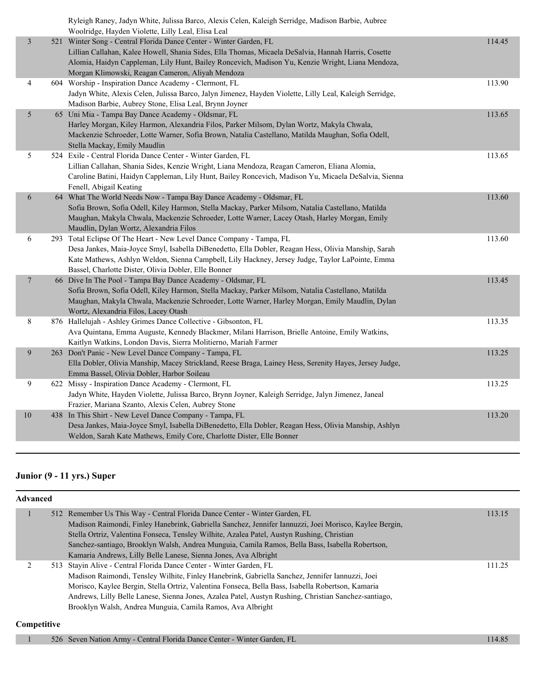|                | Ryleigh Raney, Jadyn White, Julissa Barco, Alexis Celen, Kaleigh Serridge, Madison Barbie, Aubree<br>Woolridge, Hayden Violette, Lilly Leal, Elisa Leal                                                                                                                                                                                |        |
|----------------|----------------------------------------------------------------------------------------------------------------------------------------------------------------------------------------------------------------------------------------------------------------------------------------------------------------------------------------|--------|
| $\mathfrak{Z}$ | 521 Winter Song - Central Florida Dance Center - Winter Garden, FL<br>Lillian Callahan, Kalee Howell, Shania Sides, Ella Thomas, Micaela DeSalvia, Hannah Harris, Cosette<br>Alomia, Haidyn Cappleman, Lily Hunt, Bailey Roncevich, Madison Yu, Kenzie Wright, Liana Mendoza,<br>Morgan Klimowski, Reagan Cameron, Aliyah Mendoza      | 114.45 |
| 4              | 604 Worship - Inspiration Dance Academy - Clermont, FL<br>Jadyn White, Alexis Celen, Julissa Barco, Jalyn Jimenez, Hayden Violette, Lilly Leal, Kaleigh Serridge,<br>Madison Barbie, Aubrey Stone, Elisa Leal, Brynn Joyner                                                                                                            | 113.90 |
| 5              | 65 Uni Mia - Tampa Bay Dance Academy - Oldsmar, FL<br>Harley Morgan, Kiley Harmon, Alexandria Filos, Parker Milsom, Dylan Wortz, Makyla Chwala,<br>Mackenzie Schroeder, Lotte Warner, Sofia Brown, Natalia Castellano, Matilda Maughan, Sofia Odell,<br>Stella Mackay, Emily Maudlin                                                   | 113.65 |
| 5              | 524 Exile - Central Florida Dance Center - Winter Garden, FL<br>Lillian Callahan, Shania Sides, Kenzie Wright, Liana Mendoza, Reagan Cameron, Eliana Alomia,<br>Caroline Batini, Haidyn Cappleman, Lily Hunt, Bailey Roncevich, Madison Yu, Micaela DeSalvia, Sienna<br>Fenell, Abigail Keating                                        | 113.65 |
| 6              | 64 What The World Needs Now - Tampa Bay Dance Academy - Oldsmar, FL<br>Sofia Brown, Sofia Odell, Kiley Harmon, Stella Mackay, Parker Milsom, Natalia Castellano, Matilda<br>Maughan, Makyla Chwala, Mackenzie Schroeder, Lotte Warner, Lacey Otash, Harley Morgan, Emily<br>Maudlin, Dylan Wortz, Alexandria Filos                     | 113.60 |
| 6              | 293 Total Eclipse Of The Heart - New Level Dance Company - Tampa, FL<br>Desa Jankes, Maia-Joyce Smyl, Isabella DiBenedetto, Ella Dobler, Reagan Hess, Olivia Manship, Sarah<br>Kate Mathews, Ashlyn Weldon, Sienna Campbell, Lily Hackney, Jersey Judge, Taylor LaPointe, Emma<br>Bassel, Charlotte Dister, Olivia Dobler, Elle Bonner | 113.60 |
| 7              | 66 Dive In The Pool - Tampa Bay Dance Academy - Oldsmar, FL<br>Sofia Brown, Sofia Odell, Kiley Harmon, Stella Mackay, Parker Milsom, Natalia Castellano, Matilda<br>Maughan, Makyla Chwala, Mackenzie Schroeder, Lotte Warner, Harley Morgan, Emily Maudlin, Dylan<br>Wortz, Alexandria Filos, Lacey Otash                             | 113.45 |
| 8              | 876 Hallelujah - Ashley Grimes Dance Collective - Gibsonton, FL<br>Ava Quintana, Emma Auguste, Kennedy Blackmer, Milani Harrison, Brielle Antoine, Emily Watkins,<br>Kaitlyn Watkins, London Davis, Sierra Molitierno, Mariah Farmer                                                                                                   | 113.35 |
| 9              | 263 Don't Panic - New Level Dance Company - Tampa, FL<br>Ella Dobler, Olivia Manship, Macey Strickland, Reese Braga, Lainey Hess, Serenity Hayes, Jersey Judge,<br>Emma Bassel, Olivia Dobler, Harbor Soileau                                                                                                                          | 113.25 |
| 9              | 622 Missy - Inspiration Dance Academy - Clermont, FL<br>Jadyn White, Hayden Violette, Julissa Barco, Brynn Joyner, Kaleigh Serridge, Jalyn Jimenez, Janeal<br>Frazier, Mariana Szanto, Alexis Celen, Aubrey Stone                                                                                                                      | 113.25 |
| $10\,$         | 438 In This Shirt - New Level Dance Company - Tampa, FL<br>Desa Jankes, Maia-Joyce Smyl, Isabella DiBenedetto, Ella Dobler, Reagan Hess, Olivia Manship, Ashlyn<br>Weldon, Sarah Kate Mathews, Emily Core, Charlotte Dister, Elle Bonner                                                                                               | 113.20 |
|                |                                                                                                                                                                                                                                                                                                                                        |        |

### **Junior (9 - 11 yrs.) Super**

| Advanced |  |  |                                                                                                        |        |  |
|----------|--|--|--------------------------------------------------------------------------------------------------------|--------|--|
|          |  |  | 512 Remember Us This Way - Central Florida Dance Center - Winter Garden, FL                            | 113.15 |  |
|          |  |  | Madison Raimondi, Finley Hanebrink, Gabriella Sanchez, Jennifer Iannuzzi, Joei Morisco, Kaylee Bergin, |        |  |
|          |  |  | Stella Ortriz, Valentina Fonseca, Tensley Wilhite, Azalea Patel, Austyn Rushing, Christian             |        |  |
|          |  |  | Sanchez-santiago, Brooklyn Walsh, Andrea Munguia, Camila Ramos, Bella Bass, Isabella Robertson,        |        |  |
|          |  |  | Kamaria Andrews, Lilly Belle Lanese, Sienna Jones, Ava Albright                                        |        |  |
|          |  |  | 513 Stayin Alive - Central Florida Dance Center - Winter Garden, FL                                    | 111.25 |  |
|          |  |  | Madison Raimondi, Tensley Wilhite, Finley Hanebrink, Gabriella Sanchez, Jennifer Iannuzzi, Joei        |        |  |
|          |  |  | Morisco, Kaylee Bergin, Stella Ortriz, Valentina Fonseca, Bella Bass, Isabella Robertson, Kamaria      |        |  |
|          |  |  | Andrews, Lilly Belle Lanese, Sienna Jones, Azalea Patel, Austyn Rushing, Christian Sanchez-santiago,   |        |  |
|          |  |  | Brooklyn Walsh, Andrea Munguia, Camila Ramos, Ava Albright                                             |        |  |
|          |  |  |                                                                                                        |        |  |

#### **Competitive**

1 526 Seven Nation Army - Central Florida Dance Center - Winter Garden, FL 114.85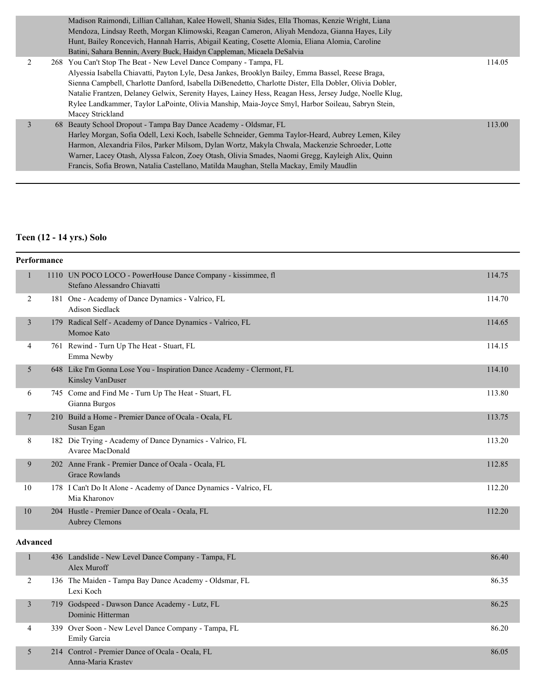|  | Madison Raimondi, Lillian Callahan, Kalee Howell, Shania Sides, Ella Thomas, Kenzie Wright, Liana       |        |
|--|---------------------------------------------------------------------------------------------------------|--------|
|  | Mendoza, Lindsay Reeth, Morgan Klimowski, Reagan Cameron, Aliyah Mendoza, Gianna Hayes, Lily            |        |
|  | Hunt, Bailey Roncevich, Hannah Harris, Abigail Keating, Cosette Alomia, Eliana Alomia, Caroline         |        |
|  | Batini, Sahara Bennin, Avery Buck, Haidyn Cappleman, Micaela DeSalvia                                   |        |
|  | 268 You Can't Stop The Beat - New Level Dance Company - Tampa, FL                                       | 114.05 |
|  | Alyessia Isabella Chiavatti, Payton Lyle, Desa Jankes, Brooklyn Bailey, Emma Bassel, Reese Braga,       |        |
|  | Sienna Campbell, Charlotte Danford, Isabella DiBenedetto, Charlotte Dister, Ella Dobler, Olivia Dobler, |        |
|  | Natalie Frantzen, Delaney Gelwix, Serenity Hayes, Lainey Hess, Reagan Hess, Jersey Judge, Noelle Klug,  |        |
|  | Rylee Landkammer, Taylor LaPointe, Olivia Manship, Maia-Joyce Smyl, Harbor Soileau, Sabryn Stein,       |        |
|  | Macey Strickland                                                                                        |        |
|  | 68 Beauty School Dropout - Tampa Bay Dance Academy - Oldsmar, FL                                        | 113.00 |
|  | Harley Morgan, Sofia Odell, Lexi Koch, Isabelle Schneider, Gemma Taylor-Heard, Aubrey Lemen, Kiley      |        |
|  | Harmon, Alexandria Filos, Parker Milsom, Dylan Wortz, Makyla Chwala, Mackenzie Schroeder, Lotte         |        |
|  | Warner, Lacey Otash, Alyssa Falcon, Zoey Otash, Olivia Smades, Naomi Gregg, Kayleigh Alix, Ouinn        |        |
|  | Francis, Sofia Brown, Natalia Castellano, Matilda Maughan, Stella Mackay, Emily Maudlin                 |        |
|  |                                                                                                         |        |

### **Teen (12 - 14 yrs.) Solo**

|    | Performance |                                                                                                   |        |  |  |
|----|-------------|---------------------------------------------------------------------------------------------------|--------|--|--|
|    |             | 1110 UN POCO LOCO - PowerHouse Dance Company - kissimmee, fl<br>Stefano Alessandro Chiavatti      | 114.75 |  |  |
| 2  |             | 181 One - Academy of Dance Dynamics - Valrico, FL<br><b>Adison Siedlack</b>                       | 114.70 |  |  |
| 3  |             | 179 Radical Self - Academy of Dance Dynamics - Valrico, FL<br>Momoe Kato                          | 114.65 |  |  |
| 4  |             | 761 Rewind - Turn Up The Heat - Stuart, FL<br>Emma Newby                                          | 114.15 |  |  |
| 5  |             | 648 Like I'm Gonna Lose You - Inspiration Dance Academy - Clermont, FL<br><b>Kinsley VanDuser</b> | 114.10 |  |  |
| 6  |             | 745 Come and Find Me - Turn Up The Heat - Stuart, FL<br>Gianna Burgos                             | 113.80 |  |  |
| 7  |             | 210 Build a Home - Premier Dance of Ocala - Ocala, FL<br>Susan Egan                               | 113.75 |  |  |
| 8  | 182         | Die Trying - Academy of Dance Dynamics - Valrico, FL<br>Avaree MacDonald                          | 113.20 |  |  |
| 9  |             | 202 Anne Frank - Premier Dance of Ocala - Ocala, FL<br><b>Grace Rowlands</b>                      | 112.85 |  |  |
| 10 |             | 178 I Can't Do It Alone - Academy of Dance Dynamics - Valrico, FL<br>Mia Kharonov                 | 112.20 |  |  |
| 10 |             | 204 Hustle - Premier Dance of Ocala - Ocala, FL<br><b>Aubrey Clemons</b>                          | 112.20 |  |  |

### **Advanced**

|   | 436 Landslide - New Level Dance Company - Tampa, FL<br>Alex Muroff     | 86.40 |
|---|------------------------------------------------------------------------|-------|
| 2 | 136 The Maiden - Tampa Bay Dance Academy - Oldsmar, FL<br>Lexi Koch    | 86.35 |
|   | 719 Godspeed - Dawson Dance Academy - Lutz, FL<br>Dominic Hitterman    | 86.25 |
| 4 | 339 Over Soon - New Level Dance Company - Tampa, FL<br>Emily Garcia    | 86.20 |
|   | 214 Control - Premier Dance of Ocala - Ocala, FL<br>Anna-Maria Krastev | 86.05 |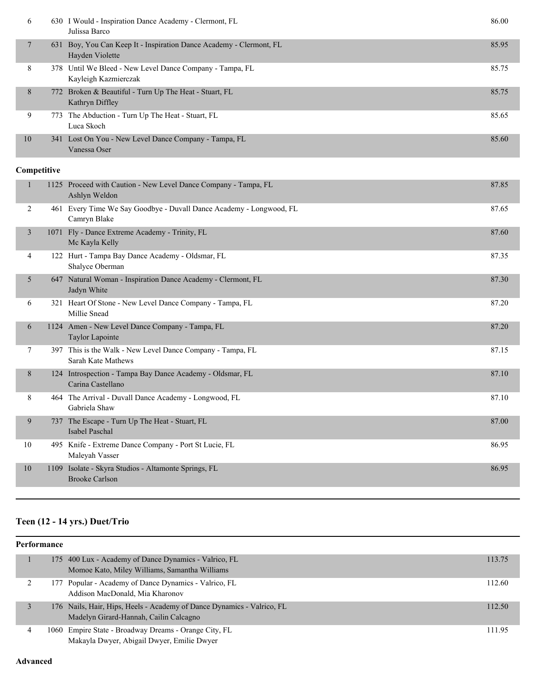| 6      |             | 630 I Would - Inspiration Dance Academy - Clermont, FL<br>Julissa Barco                | 86.00 |
|--------|-------------|----------------------------------------------------------------------------------------|-------|
| $\tau$ |             | 631 Boy, You Can Keep It - Inspiration Dance Academy - Clermont, FL<br>Hayden Violette | 85.95 |
| 8      |             | 378 Until We Bleed - New Level Dance Company - Tampa, FL<br>Kayleigh Kazmierczak       | 85.75 |
| 8      |             | 772 Broken & Beautiful - Turn Up The Heat - Stuart, FL<br>Kathryn Diffley              | 85.75 |
| 9      |             | 773 The Abduction - Turn Up The Heat - Stuart, FL<br>Luca Skoch                        | 85.65 |
| 10     |             | 341 Lost On You - New Level Dance Company - Tampa, FL<br>Vanessa Oser                  | 85.60 |
|        | Competitive |                                                                                        |       |
| 1      |             | 1125 Proceed with Caution - New Level Dance Company - Tampa, FL<br>Ashlyn Weldon       | 87.85 |
| 2      |             | 461 Every Time We Say Goodbye - Duvall Dance Academy - Longwood, FL<br>Camryn Blake    | 87.65 |
| 3      |             | 1071 Fly - Dance Extreme Academy - Trinity, FL<br>Mc Kayla Kelly                       | 87.60 |
| 4      |             | 122 Hurt - Tampa Bay Dance Academy - Oldsmar, FL<br>Shalyce Oberman                    | 87.35 |
| 5      |             | 647 Natural Woman - Inspiration Dance Academy - Clermont, FL<br>Jadyn White            | 87.30 |
| 6      |             | 321 Heart Of Stone - New Level Dance Company - Tampa, FL<br>Millie Snead               | 87.20 |
| 6      |             | 1124 Amen - New Level Dance Company - Tampa, FL<br>Taylor Lapointe                     | 87.20 |
| 7      |             | 397 This is the Walk - New Level Dance Company - Tampa, FL<br>Sarah Kate Mathews       | 87.15 |
| 8      |             | 124 Introspection - Tampa Bay Dance Academy - Oldsmar, FL<br>Carina Castellano         | 87.10 |
| 8      |             | 464 The Arrival - Duvall Dance Academy - Longwood, FL<br>Gabriela Shaw                 | 87.10 |
| 9      | 737         | The Escape - Turn Up The Heat - Stuart, FL<br>Isabel Paschal                           | 87.00 |
| 10     |             | 495 Knife - Extreme Dance Company - Port St Lucie, FL<br>Maleyah Vasser                | 86.95 |
| 10     |             | 1109 Isolate - Skyra Studios - Altamonte Springs, FL<br><b>Brooke Carlson</b>          | 86.95 |

### **Teen (12 - 14 yrs.) Duet/Trio**

| Performance |   |  |                                                                                                                  |        |
|-------------|---|--|------------------------------------------------------------------------------------------------------------------|--------|
|             |   |  | 175 400 Lux - Academy of Dance Dynamics - Valrico, FL<br>Momoe Kato, Miley Williams, Samantha Williams           | 113.75 |
|             |   |  | 177 Popular - Academy of Dance Dynamics - Valrico, FL<br>Addison MacDonald, Mia Kharonov                         | 112.60 |
|             |   |  | 176 Nails, Hair, Hips, Heels - Academy of Dance Dynamics - Valrico, FL<br>Madelyn Girard-Hannah, Cailin Calcagno | 112.50 |
|             | 4 |  | 1060 Empire State - Broadway Dreams - Orange City, FL<br>Makayla Dwyer, Abigail Dwyer, Emilie Dwyer              | 111.95 |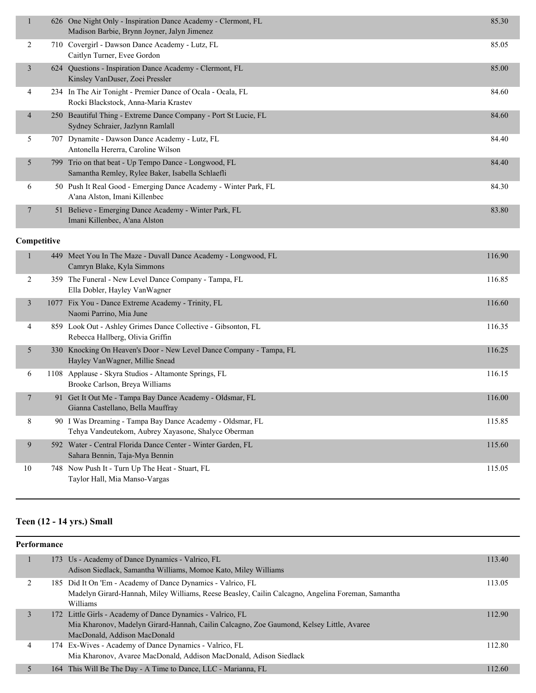|   |             | 626 One Night Only - Inspiration Dance Academy - Clermont, FL<br>Madison Barbie, Brynn Joyner, Jalyn Jimenez | 85.30  |
|---|-------------|--------------------------------------------------------------------------------------------------------------|--------|
| 2 |             | 710 Covergirl - Dawson Dance Academy - Lutz, FL<br>Caitlyn Turner, Evee Gordon                               | 85.05  |
| 3 | 624         | Questions - Inspiration Dance Academy - Clermont, FL<br>Kinsley VanDuser, Zoei Pressler                      | 85.00  |
| 4 |             | 234 In The Air Tonight - Premier Dance of Ocala - Ocala, FL<br>Rocki Blackstock, Anna-Maria Krastev          | 84.60  |
| 4 | 250         | Beautiful Thing - Extreme Dance Company - Port St Lucie, FL<br>Sydney Schraier, Jazlynn Ramlall              | 84.60  |
| 5 | 707         | Dynamite - Dawson Dance Academy - Lutz, FL<br>Antonella Hererra, Caroline Wilson                             | 84.40  |
| 5 | 799         | Trio on that beat - Up Tempo Dance - Longwood, FL<br>Samantha Remley, Rylee Baker, Isabella Schlaefli        | 84.40  |
| 6 |             | 50 Push It Real Good - Emerging Dance Academy - Winter Park, FL<br>A'ana Alston, Imani Killenbec             | 84.30  |
| 7 |             | 51 Believe - Emerging Dance Academy - Winter Park, FL<br>Imani Killenbec, A'ana Alston                       | 83.80  |
|   | Competitive |                                                                                                              |        |
|   | 449         | Meet You In The Maze - Duvall Dance Academy - Longwood, FL<br>Camryn Blake, Kyla Simmons                     | 116.90 |
|   |             | $250$ TL $F = 1$ M. I. $1 D = 0$                                                                             | 1160c  |

| 2  |    | 359 The Funeral - New Level Dance Company - Tampa, FL<br>Ella Dobler, Hayley Van Wagner                          | 116.85 |
|----|----|------------------------------------------------------------------------------------------------------------------|--------|
| 3  |    | 1077 Fix You - Dance Extreme Academy - Trinity, FL<br>Naomi Parrino, Mia June                                    | 116.60 |
| 4  |    | 859 Look Out - Ashley Grimes Dance Collective - Gibsonton, FL<br>Rebecca Hallberg, Olivia Griffin                | 116.35 |
| 5  |    | 330 Knocking On Heaven's Door - New Level Dance Company - Tampa, FL<br>Hayley VanWagner, Millie Snead            | 116.25 |
| 6  |    | 1108 Applause - Skyra Studios - Altamonte Springs, FL<br>Brooke Carlson, Breya Williams                          | 116.15 |
| 7  | 91 | Get It Out Me - Tampa Bay Dance Academy - Oldsmar, FL<br>Gianna Castellano, Bella Mauffray                       | 116.00 |
| 8  |    | 90 I Was Dreaming - Tampa Bay Dance Academy - Oldsmar, FL<br>Tehya Vandeutekom, Aubrey Xayasone, Shalyce Oberman | 115.85 |
| 9  |    | 592 Water - Central Florida Dance Center - Winter Garden, FL<br>Sahara Bennin, Taja-Mya Bennin                   | 115.60 |
| 10 |    | 748 Now Push It - Turn Up The Heat - Stuart, FL<br>Taylor Hall, Mia Manso-Vargas                                 | 115.05 |

# **Teen (12 - 14 yrs.) Small**

| <b>Performance</b> |     |                                                                                                   |        |  |
|--------------------|-----|---------------------------------------------------------------------------------------------------|--------|--|
|                    |     | 173 Us - Academy of Dance Dynamics - Valrico, FL                                                  | 113.40 |  |
|                    |     | Adison Siedlack, Samantha Williams, Momoe Kato, Miley Williams                                    |        |  |
| 2                  |     | 185 Did It On 'Em - Academy of Dance Dynamics - Valrico, FL                                       | 113.05 |  |
|                    |     | Madelyn Girard-Hannah, Miley Williams, Reese Beasley, Cailin Calcagno, Angelina Foreman, Samantha |        |  |
|                    |     | <b>Williams</b>                                                                                   |        |  |
| 3                  |     | 172 Little Girls - Academy of Dance Dynamics - Valrico, FL                                        | 112.90 |  |
|                    |     | Mia Kharonov, Madelyn Girard-Hannah, Cailin Calcagno, Zoe Gaumond, Kelsey Little, Avaree          |        |  |
|                    |     | MacDonald, Addison MacDonald                                                                      |        |  |
| 4                  |     | 174 Ex-Wives - Academy of Dance Dynamics - Valrico, FL                                            | 112.80 |  |
|                    |     | Mia Kharonov, Avaree MacDonald, Addison MacDonald, Adison Siedlack                                |        |  |
| 5                  | 164 | This Will Be The Day - A Time to Dance, LLC - Marianna, FL                                        | 112.60 |  |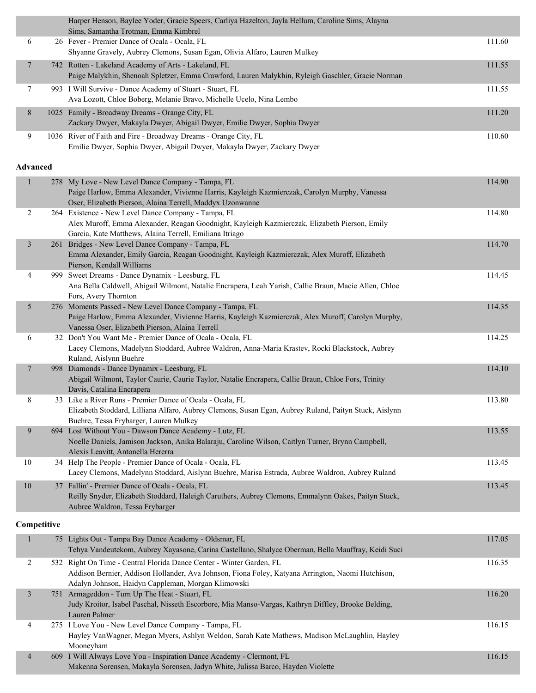|                          |             | Harper Henson, Baylee Yoder, Gracie Speers, Carliya Hazelton, Jayla Hellum, Caroline Sims, Alayna<br>Sims, Samantha Trotman, Emma Kimbrel                     |        |
|--------------------------|-------------|---------------------------------------------------------------------------------------------------------------------------------------------------------------|--------|
| 6                        |             | 26 Fever - Premier Dance of Ocala - Ocala, FL                                                                                                                 | 111.60 |
|                          |             | Shyanne Gravely, Aubrey Clemons, Susan Egan, Olivia Alfaro, Lauren Mulkey                                                                                     |        |
| 7                        |             | 742 Rotten - Lakeland Academy of Arts - Lakeland, FL                                                                                                          | 111.55 |
|                          |             | Paige Malykhin, Shenoah Spletzer, Emma Crawford, Lauren Malykhin, Ryleigh Gaschler, Gracie Norman                                                             |        |
| 7                        |             | 993 I Will Survive - Dance Academy of Stuart - Stuart, FL                                                                                                     | 111.55 |
|                          |             | Ava Lozott, Chloe Boberg, Melanie Bravo, Michelle Ucelo, Nina Lembo                                                                                           |        |
| 8                        |             | 1025 Family - Broadway Dreams - Orange City, FL                                                                                                               | 111.20 |
|                          |             | Zackary Dwyer, Makayla Dwyer, Abigail Dwyer, Emilie Dwyer, Sophia Dwyer                                                                                       |        |
| 9                        |             | 1036 River of Faith and Fire - Broadway Dreams - Orange City, FL                                                                                              | 110.60 |
|                          |             | Emilie Dwyer, Sophia Dwyer, Abigail Dwyer, Makayla Dwyer, Zackary Dwyer                                                                                       |        |
| <b>Advanced</b>          |             |                                                                                                                                                               |        |
|                          |             |                                                                                                                                                               |        |
| $\mathbf{1}$             |             | 278 My Love - New Level Dance Company - Tampa, FL<br>Paige Harlow, Emma Alexander, Vivienne Harris, Kayleigh Kazmierczak, Carolyn Murphy, Vanessa             | 114.90 |
|                          |             | Oser, Elizabeth Pierson, Alaina Terrell, Maddyx Uzonwanne                                                                                                     |        |
| 2                        |             | 264 Existence - New Level Dance Company - Tampa, FL                                                                                                           | 114.80 |
|                          |             | Alex Muroff, Emma Alexander, Reagan Goodnight, Kayleigh Kazmierczak, Elizabeth Pierson, Emily                                                                 |        |
|                          |             | Garcia, Kate Matthews, Alaina Terrell, Emiliana Itriago                                                                                                       |        |
| $\mathfrak{Z}$           |             | 261 Bridges - New Level Dance Company - Tampa, FL<br>Emma Alexander, Emily Garcia, Reagan Goodnight, Kayleigh Kazmierczak, Alex Muroff, Elizabeth             | 114.70 |
|                          |             | Pierson, Kendall Williams                                                                                                                                     |        |
| 4                        |             | 999 Sweet Dreams - Dance Dynamix - Leesburg, FL                                                                                                               | 114.45 |
|                          |             | Ana Bella Caldwell, Abigail Wilmont, Natalie Encrapera, Leah Yarish, Callie Braun, Macie Allen, Chloe                                                         |        |
|                          |             | Fors, Avery Thornton                                                                                                                                          |        |
| 5                        |             | 276 Moments Passed - New Level Dance Company - Tampa, FL<br>Paige Harlow, Emma Alexander, Vivienne Harris, Kayleigh Kazmierczak, Alex Muroff, Carolyn Murphy, | 114.35 |
|                          |             | Vanessa Oser, Elizabeth Pierson, Alaina Terrell                                                                                                               |        |
| 6                        |             | 32 Don't You Want Me - Premier Dance of Ocala - Ocala, FL                                                                                                     | 114.25 |
|                          |             | Lacey Clemons, Madelynn Stoddard, Aubree Waldron, Anna-Maria Krastev, Rocki Blackstock, Aubrey                                                                |        |
|                          |             | Ruland, Aislynn Buehre                                                                                                                                        |        |
| $\overline{7}$           |             | 998 Diamonds - Dance Dynamix - Leesburg, FL<br>Abigail Wilmont, Taylor Caurie, Caurie Taylor, Natalie Encrapera, Callie Braun, Chloe Fors, Trinity            | 114.10 |
|                          |             | Davis, Catalina Encrapera                                                                                                                                     |        |
| 8                        |             | 33 Like a River Runs - Premier Dance of Ocala - Ocala, FL                                                                                                     | 113.80 |
|                          |             | Elizabeth Stoddard, Lilliana Alfaro, Aubrey Clemons, Susan Egan, Aubrey Ruland, Paityn Stuck, Aislynn                                                         |        |
|                          |             | Buehre, Tessa Frybarger, Lauren Mulkey                                                                                                                        |        |
| 9                        |             | 694 Lost Without You - Dawson Dance Academy - Lutz, FL<br>Noelle Daniels, Jamison Jackson, Anika Balaraju, Caroline Wilson, Caitlyn Turner, Brynn Campbell,   | 113.55 |
|                          |             | Alexis Leavitt, Antonella Hererra                                                                                                                             |        |
| $10\,$                   |             | 34 Help The People - Premier Dance of Ocala - Ocala, FL                                                                                                       | 113.45 |
|                          |             | Lacey Clemons, Madelynn Stoddard, Aislynn Buehre, Marisa Estrada, Aubree Waldron, Aubrey Ruland                                                               |        |
| $10\,$                   |             | 37 Fallin' - Premier Dance of Ocala - Ocala, FL                                                                                                               | 113.45 |
|                          |             | Reilly Snyder, Elizabeth Stoddard, Haleigh Caruthers, Aubrey Clemons, Emmalynn Oakes, Paityn Stuck,                                                           |        |
|                          |             | Aubree Waldron, Tessa Frybarger                                                                                                                               |        |
|                          | Competitive |                                                                                                                                                               |        |
| $\mathbf{1}$             |             | 75 Lights Out - Tampa Bay Dance Academy - Oldsmar, FL                                                                                                         | 117.05 |
|                          |             | Tehya Vandeutekom, Aubrey Xayasone, Carina Castellano, Shalyce Oberman, Bella Mauffray, Keidi Suci                                                            |        |
| 2                        |             | 532 Right On Time - Central Florida Dance Center - Winter Garden, FL                                                                                          | 116.35 |
|                          |             | Addison Bernier, Addison Hollander, Ava Johnson, Fiona Foley, Katyana Arrington, Naomi Hutchison,                                                             |        |
|                          |             | Adalyn Johnson, Haidyn Cappleman, Morgan Klimowski                                                                                                            |        |
| $\mathfrak{Z}$           |             | 751 Armageddon - Turn Up The Heat - Stuart, FL                                                                                                                | 116.20 |
|                          |             | Judy Kroitor, Isabel Paschal, Nisseth Escorbore, Mia Manso-Vargas, Kathryn Diffley, Brooke Belding,<br>Lauren Palmer                                          |        |
| 4                        |             | 275 I Love You - New Level Dance Company - Tampa, FL                                                                                                          | 116.15 |
|                          |             | Hayley VanWagner, Megan Myers, Ashlyn Weldon, Sarah Kate Mathews, Madison McLaughlin, Hayley                                                                  |        |
|                          |             | Mooneyham                                                                                                                                                     |        |
| $\overline{\mathcal{A}}$ |             | 609 I Will Always Love You - Inspiration Dance Academy - Clermont, FL<br>Makenna Sorensen, Makayla Sorensen, Jadyn White, Julissa Barco, Hayden Violette      | 116.15 |
|                          |             |                                                                                                                                                               |        |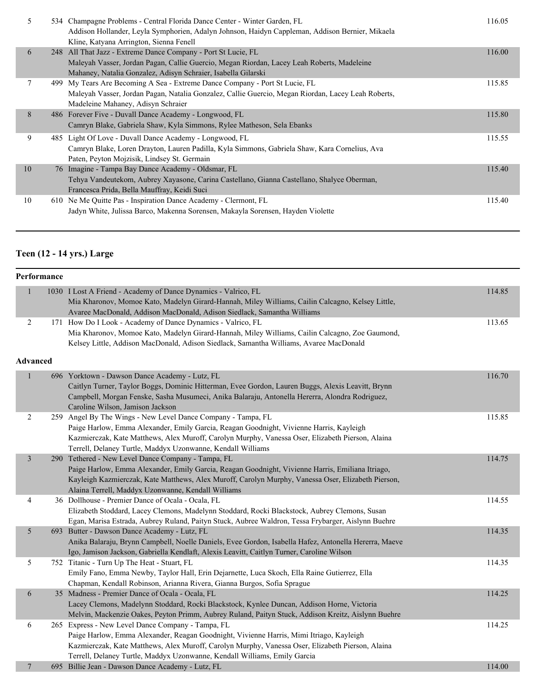| 5  | 534 Champagne Problems - Central Florida Dance Center - Winter Garden, FL<br>Addison Hollander, Leyla Symphorien, Adalyn Johnson, Haidyn Cappleman, Addison Bernier, Mikaela<br>Kline, Katyana Arrington, Sienna Fenell      | 116.05 |
|----|------------------------------------------------------------------------------------------------------------------------------------------------------------------------------------------------------------------------------|--------|
| 6  | 248 All That Jazz - Extreme Dance Company - Port St Lucie, FL<br>Maleyah Vasser, Jordan Pagan, Callie Guercio, Megan Riordan, Lacey Leah Roberts, Madeleine<br>Mahaney, Natalia Gonzalez, Adisyn Schraier, Isabella Gilarski | 116.00 |
|    | 499 My Tears Are Becoming A Sea - Extreme Dance Company - Port St Lucie, FL<br>Maleyah Vasser, Jordan Pagan, Natalia Gonzalez, Callie Guercio, Megan Riordan, Lacey Leah Roberts,<br>Madeleine Mahaney, Adisyn Schraier      | 115.85 |
| 8  | 486 Forever Five - Duvall Dance Academy - Longwood, FL<br>Camryn Blake, Gabriela Shaw, Kyla Simmons, Rylee Matheson, Sela Ebanks                                                                                             | 115.80 |
| 9  | 485 Light Of Love - Duvall Dance Academy - Longwood, FL<br>Camryn Blake, Loren Drayton, Lauren Padilla, Kyla Simmons, Gabriela Shaw, Kara Cornelius, Ava<br>Paten, Peyton Mojzisik, Lindsey St. Germain                      | 115.55 |
| 10 | 76 Imagine - Tampa Bay Dance Academy - Oldsmar, FL<br>Tehya Vandeutekom, Aubrey Xayasone, Carina Castellano, Gianna Castellano, Shalyce Oberman,<br>Francesca Prida, Bella Mauffray, Keidi Suci                              | 115.40 |
| 10 | 610 Ne Me Quitte Pas - Inspiration Dance Academy - Clermont, FL<br>Jadyn White, Julissa Barco, Makenna Sorensen, Makayla Sorensen, Hayden Violette                                                                           | 115.40 |

# **Teen (12 - 14 yrs.) Large**

|                | Performance     |                                                                                                       |        |
|----------------|-----------------|-------------------------------------------------------------------------------------------------------|--------|
| $\mathbf{1}$   |                 | 1030 I Lost A Friend - Academy of Dance Dynamics - Valrico, FL                                        | 114.85 |
|                |                 | Mia Kharonov, Momoe Kato, Madelyn Girard-Hannah, Miley Williams, Cailin Calcagno, Kelsey Little,      |        |
|                |                 | Avaree MacDonald, Addison MacDonald, Adison Siedlack, Samantha Williams                               |        |
| 2              |                 | 171 How Do I Look - Academy of Dance Dynamics - Valrico, FL                                           | 113.65 |
|                |                 | Mia Kharonov, Momoe Kato, Madelyn Girard-Hannah, Miley Williams, Cailin Calcagno, Zoe Gaumond,        |        |
|                |                 | Kelsey Little, Addison MacDonald, Adison Siedlack, Samantha Williams, Avaree MacDonald                |        |
|                | <b>Advanced</b> |                                                                                                       |        |
| $\mathbf{1}$   |                 | 696 Yorktown - Dawson Dance Academy - Lutz, FL                                                        | 116.70 |
|                |                 | Caitlyn Turner, Taylor Boggs, Dominic Hitterman, Evee Gordon, Lauren Buggs, Alexis Leavitt, Brynn     |        |
|                |                 | Campbell, Morgan Fenske, Sasha Musumeci, Anika Balaraju, Antonella Hererra, Alondra Rodriguez,        |        |
|                |                 | Caroline Wilson, Jamison Jackson                                                                      |        |
| $\overline{2}$ |                 | 259 Angel By The Wings - New Level Dance Company - Tampa, FL                                          | 115.85 |
|                |                 | Paige Harlow, Emma Alexander, Emily Garcia, Reagan Goodnight, Vivienne Harris, Kayleigh               |        |
|                |                 | Kazmierczak, Kate Matthews, Alex Muroff, Carolyn Murphy, Vanessa Oser, Elizabeth Pierson, Alaina      |        |
|                |                 | Terrell, Delaney Turtle, Maddyx Uzonwanne, Kendall Williams                                           |        |
| 3              |                 | 290 Tethered - New Level Dance Company - Tampa, FL                                                    | 114.75 |
|                |                 | Paige Harlow, Emma Alexander, Emily Garcia, Reagan Goodnight, Vivienne Harris, Emiliana Itriago,      |        |
|                |                 | Kayleigh Kazmierczak, Kate Matthews, Alex Muroff, Carolyn Murphy, Vanessa Oser, Elizabeth Pierson,    |        |
|                |                 | Alaina Terrell, Maddyx Uzonwanne, Kendall Williams                                                    |        |
| 4              |                 | 36 Dollhouse - Premier Dance of Ocala - Ocala, FL                                                     | 114.55 |
|                |                 | Elizabeth Stoddard, Lacey Clemons, Madelynn Stoddard, Rocki Blackstock, Aubrey Clemons, Susan         |        |
|                |                 | Egan, Marisa Estrada, Aubrey Ruland, Paityn Stuck, Aubree Waldron, Tessa Frybarger, Aislynn Buehre    |        |
| 5              |                 | 693 Butter - Dawson Dance Academy - Lutz, FL                                                          | 114.35 |
|                |                 | Anika Balaraju, Brynn Campbell, Noelle Daniels, Evee Gordon, Isabella Hafez, Antonella Hererra, Maeve |        |
|                |                 | Igo, Jamison Jackson, Gabriella Kendlaft, Alexis Leavitt, Caitlyn Turner, Caroline Wilson             |        |
| 5              |                 | 752 Titanic - Turn Up The Heat - Stuart, FL                                                           | 114.35 |
|                |                 | Emily Fano, Emma Newby, Taylor Hall, Erin Dejarnette, Luca Skoch, Ella Raine Gutierrez, Ella          |        |
|                |                 | Chapman, Kendall Robinson, Arianna Rivera, Gianna Burgos, Sofia Sprague                               |        |
| 6              |                 | 35 Madness - Premier Dance of Ocala - Ocala, FL                                                       | 114.25 |
|                |                 | Lacey Clemons, Madelynn Stoddard, Rocki Blackstock, Kynlee Duncan, Addison Horne, Victoria            |        |
|                |                 | Melvin, Mackenzie Oakes, Peyton Primm, Aubrey Ruland, Paityn Stuck, Addison Kreitz, Aislynn Buehre    |        |
| 6              |                 | 265 Express - New Level Dance Company - Tampa, FL                                                     | 114.25 |
|                |                 | Paige Harlow, Emma Alexander, Reagan Goodnight, Vivienne Harris, Mimi Itriago, Kayleigh               |        |
|                |                 | Kazmierczak, Kate Matthews, Alex Muroff, Carolyn Murphy, Vanessa Oser, Elizabeth Pierson, Alaina      |        |
|                |                 | Terrell, Delaney Turtle, Maddyx Uzonwanne, Kendall Williams, Emily Garcia                             |        |
| 7              |                 | 695 Billie Jean - Dawson Dance Academy - Lutz, FL                                                     | 114.00 |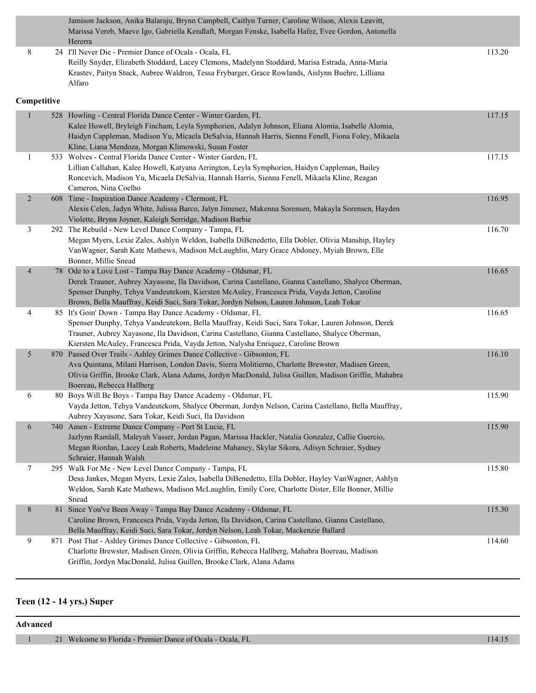Jamison Jackson, Anika Balaraju, Brynn Campbell, Caitlyn Turner, Caroline Wilson, Alexis Leavitt, Marissa Vereb, Maeve Igo, Gabriella Kendlaft, Morgan Fenske, Isabella Hafez, Evee Gordon, Antonella Hererra 8 24 I'll Never Die - Premier Dance of Ocala - Ocala, FL 113.20

#### Reilly Snyder, Elizabeth Stoddard, Lacey Clemons, Madelynn Stoddard, Marisa Estrada, Anna-Maria Krastev, Paityn Stuck, Aubree Waldron, Tessa Frybarger, Grace Rowlands, Aislynn Buehre, Lilliana Alfaro

#### **Competitive**

| $\mathbf{1}$   |     | 528 Howling - Central Florida Dance Center - Winter Garden, FL<br>Kalee Howell, Bryleigh Fincham, Leyla Symphorien, Adalyn Johnson, Eliana Alomia, Isabelle Alomia,<br>Haidyn Cappleman, Madison Yu, Micaela DeSalvia, Hannah Harris, Sienna Fenell, Fiona Foley, Mikaela<br>Kline, Liana Mendoza, Morgan Klimowski, Susan Foster                                 | 117.15 |
|----------------|-----|-------------------------------------------------------------------------------------------------------------------------------------------------------------------------------------------------------------------------------------------------------------------------------------------------------------------------------------------------------------------|--------|
| $\mathbf{1}$   |     | 533 Wolves - Central Florida Dance Center - Winter Garden, FL<br>Lillian Callahan, Kalee Howell, Katyana Arrington, Leyla Symphorien, Haidyn Cappleman, Bailey<br>Roncevich, Madison Yu, Micaela DeSalvia, Hannah Harris, Sienna Fenell, Mikaela Kline, Reagan<br>Cameron, Nina Coelho                                                                            | 117.15 |
| $\overline{2}$ |     | 608 Time - Inspiration Dance Academy - Clermont, FL<br>Alexis Celen, Jadyn White, Julissa Barco, Jalyn Jimenez, Makenna Sorensen, Makayla Sorensen, Hayden<br>Violette, Brynn Joyner, Kaleigh Serridge, Madison Barbie                                                                                                                                            | 116.95 |
| 3              |     | 292 The Rebuild - New Level Dance Company - Tampa, FL<br>Megan Myers, Lexie Zales, Ashlyn Weldon, Isabella DiBenedetto, Ella Dobler, Olivia Manship, Hayley<br>VanWagner, Sarah Kate Mathews, Madison McLaughlin, Mary Grace Abdoney, Myiah Brown, Elle<br>Bonner, Millie Snead                                                                                   | 116.70 |
| $\overline{4}$ |     | 78 Ode to a Love Lost - Tampa Bay Dance Academy - Oldsmar, FL<br>Derek Trauner, Aubrey Xayasone, Ila Davidson, Carina Castellano, Gianna Castellano, Shalyce Oberman,<br>Spenser Dunphy, Tehya Vandeutekom, Kiersten McAuley, Francesca Prida, Vayda Jetton, Caroline<br>Brown, Bella Mauffray, Keidi Suci, Sara Tokar, Jordyn Nelson, Lauren Johnson, Leah Tokar | 116.65 |
| 4              |     | 85 It's Goin' Down - Tampa Bay Dance Academy - Oldsmar, FL<br>Spenser Dunphy, Tehya Vandeutekom, Bella Mauffray, Keidi Suci, Sara Tokar, Lauren Johnson, Derek<br>Trauner, Aubrey Xayasone, Ila Davidson, Carina Castellano, Gianna Castellano, Shalyce Oberman,<br>Kiersten McAuley, Francesca Prida, Vayda Jetton, Nalysha Enriquez, Caroline Brown             | 116.65 |
| 5              |     | 870 Passed Over Trails - Ashley Grimes Dance Collective - Gibsonton, FL<br>Ava Quintana, Milani Harrison, London Davis, Sierra Molitierno, Charlotte Brewster, Madisen Green,<br>Olivia Griffin, Brooke Clark, Alana Adams, Jordyn MacDonald, Julisa Guillen, Madison Griffin, Mahabra<br>Boereau, Rebecca Hallberg                                               | 116.10 |
| 6              |     | 80 Boys Will Be Boys - Tampa Bay Dance Academy - Oldsmar, FL<br>Vayda Jetton, Tehya Vandeutekom, Shalyce Oberman, Jordyn Nelson, Carina Castellano, Bella Mauffray,<br>Aubrey Xayasone, Sara Tokar, Keidi Suci, Ila Davidson                                                                                                                                      | 115.90 |
| 6              |     | 740 Amen - Extreme Dance Company - Port St Lucie, FL<br>Jazlynn Ramlall, Maleyah Vasser, Jordan Pagan, Marissa Hackler, Natalia Gonzalez, Callie Guercio,<br>Megan Riordan, Lacey Leah Roberts, Madeleine Mahaney, Skylar Sikora, Adisyn Schraier, Sydney<br>Schraier, Hannah Walsh                                                                               | 115.90 |
| 7              |     | 295 Walk For Me - New Level Dance Company - Tampa, FL<br>Desa Jankes, Megan Myers, Lexie Zales, Isabella DiBenedetto, Ella Dobler, Hayley VanWagner, Ashlyn<br>Weldon, Sarah Kate Mathews, Madison McLaughlin, Emily Core, Charlotte Dister, Elle Bonner, Millie<br>Snead                                                                                         | 115.80 |
| 8              |     | 81 Since You've Been Away - Tampa Bay Dance Academy - Oldsmar, FL<br>Caroline Brown, Francesca Prida, Vayda Jetton, Ila Davidson, Carina Castellano, Gianna Castellano,<br>Bella Mauffray, Keidi Suci, Sara Tokar, Jordyn Nelson, Leah Tokar, Mackenzie Ballard                                                                                                   | 115.30 |
| 9              | 871 | Post That - Ashley Grimes Dance Collective - Gibsonton, FL<br>Charlotte Brewster, Madisen Green, Olivia Griffin, Rebecca Hallberg, Mahabra Boereau, Madison<br>Griffin, Jordyn MacDonald, Julisa Guillen, Brooke Clark, Alana Adams                                                                                                                               | 114.60 |

### **Teen (12 - 14 yrs.) Super**

| Advanced |  |                                                            |  |
|----------|--|------------------------------------------------------------|--|
|          |  | 21 Welcome to Florida - Premier Dance of Ocala - Ocala, FL |  |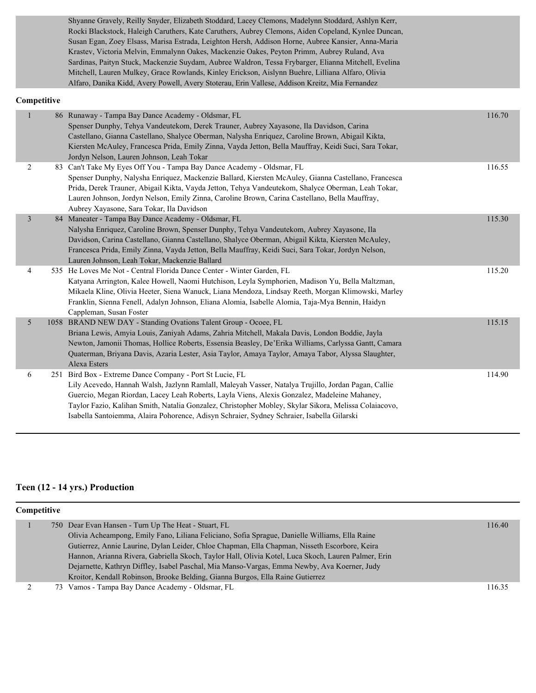Shyanne Gravely, Reilly Snyder, Elizabeth Stoddard, Lacey Clemons, Madelynn Stoddard, Ashlyn Kerr, Rocki Blackstock, Haleigh Caruthers, Kate Caruthers, Aubrey Clemons, Aiden Copeland, Kynlee Duncan, Susan Egan, Zoey Elsass, Marisa Estrada, Leighton Hersh, Addison Horne, Aubree Kansier, Anna-Maria Krastev, Victoria Melvin, Emmalynn Oakes, Mackenzie Oakes, Peyton Primm, Aubrey Ruland, Ava Sardinas, Paityn Stuck, Mackenzie Suydam, Aubree Waldron, Tessa Frybarger, Elianna Mitchell, Evelina Mitchell, Lauren Mulkey, Grace Rowlands, Kinley Erickson, Aislynn Buehre, Lilliana Alfaro, Olivia Alfaro, Danika Kidd, Avery Powell, Avery Stoterau, Erin Vallese, Addison Kreitz, Mia Fernandez

#### **Competitive**

| $\mathbf{1}$   |     | 86 Runaway - Tampa Bay Dance Academy - Oldsmar, FL<br>Spenser Dunphy, Tehya Vandeutekom, Derek Trauner, Aubrey Xayasone, Ila Davidson, Carina<br>Castellano, Gianna Castellano, Shalyce Oberman, Nalysha Enriquez, Caroline Brown, Abigail Kikta,<br>Kiersten McAuley, Francesca Prida, Emily Zinna, Vayda Jetton, Bella Mauffray, Keidi Suci, Sara Tokar,<br>Jordyn Nelson, Lauren Johnson, Leah Tokar                                                            | 116.70 |
|----------------|-----|--------------------------------------------------------------------------------------------------------------------------------------------------------------------------------------------------------------------------------------------------------------------------------------------------------------------------------------------------------------------------------------------------------------------------------------------------------------------|--------|
| 2              |     | 83 Can't Take My Eyes Off You - Tampa Bay Dance Academy - Oldsmar, FL<br>Spenser Dunphy, Nalysha Enriquez, Mackenzie Ballard, Kiersten McAuley, Gianna Castellano, Francesca<br>Prida, Derek Trauner, Abigail Kikta, Vayda Jetton, Tehya Vandeutekom, Shalyce Oberman, Leah Tokar,<br>Lauren Johnson, Jordyn Nelson, Emily Zinna, Caroline Brown, Carina Castellano, Bella Mauffray,<br>Aubrey Xayasone, Sara Tokar, Ila Davidson                                  | 116.55 |
| $\overline{3}$ |     | 84 Maneater - Tampa Bay Dance Academy - Oldsmar, FL<br>Nalysha Enriquez, Caroline Brown, Spenser Dunphy, Tehya Vandeutekom, Aubrey Xayasone, Ila<br>Davidson, Carina Castellano, Gianna Castellano, Shalyce Oberman, Abigail Kikta, Kiersten McAuley,<br>Francesca Prida, Emily Zinna, Vayda Jetton, Bella Mauffray, Keidi Suci, Sara Tokar, Jordyn Nelson,<br>Lauren Johnson, Leah Tokar, Mackenzie Ballard                                                       | 115.30 |
| $\overline{4}$ |     | 535 He Loves Me Not - Central Florida Dance Center - Winter Garden, FL<br>Katyana Arrington, Kalee Howell, Naomi Hutchison, Leyla Symphorien, Madison Yu, Bella Maltzman,<br>Mikaela Kline, Olivia Heeter, Siena Wanuck, Liana Mendoza, Lindsay Reeth, Morgan Klimowski, Marley<br>Franklin, Sienna Fenell, Adalyn Johnson, Eliana Alomia, Isabelle Alomia, Taja-Mya Bennin, Haidyn<br>Cappleman, Susan Foster                                                     | 115.20 |
| 5              |     | 1058 BRAND NEW DAY - Standing Ovations Talent Group - Ocoee, FL<br>Briana Lewis, Amyia Louis, Zaniyah Adams, Zahria Mitchell, Makala Davis, London Boddie, Jayla<br>Newton, Jamonii Thomas, Hollice Roberts, Essensia Beasley, De'Erika Williams, Carlyssa Gantt, Camara<br>Quaterman, Briyana Davis, Azaria Lester, Asia Taylor, Amaya Taylor, Amaya Tabor, Alyssa Slaughter,<br>Alexa Esters                                                                     | 115.15 |
| 6              | 251 | Bird Box - Extreme Dance Company - Port St Lucie, FL<br>Lily Acevedo, Hannah Walsh, Jazlynn Ramlall, Maleyah Vasser, Natalya Trujillo, Jordan Pagan, Callie<br>Guercio, Megan Riordan, Lacey Leah Roberts, Layla Viens, Alexis Gonzalez, Madeleine Mahaney,<br>Taylor Fazio, Kalihan Smith, Natalia Gonzalez, Christopher Mobley, Skylar Sikora, Melissa Colaiacovo,<br>Isabella Santoiemma, Alaira Pohorence, Adisyn Schraier, Sydney Schraier, Isabella Gilarski | 114.90 |

#### **Teen (12 - 14 yrs.) Production**

| <b>Competitive</b> |  |                                                                                                     |                                                                                                          |
|--------------------|--|-----------------------------------------------------------------------------------------------------|----------------------------------------------------------------------------------------------------------|
|                    |  |                                                                                                     | 116.40                                                                                                   |
|                    |  | Olivia Acheampong, Emily Fano, Liliana Feliciano, Sofia Sprague, Danielle Williams, Ella Raine      |                                                                                                          |
|                    |  | Gutierrez, Annie Laurine, Dylan Leider, Chloe Chapman, Ella Chapman, Nisseth Escorbore, Keira       |                                                                                                          |
|                    |  | Hannon, Arianna Rivera, Gabriella Skoch, Taylor Hall, Olivia Kotel, Luca Skoch, Lauren Palmer, Erin |                                                                                                          |
|                    |  | Dejarnette, Kathryn Diffley, Isabel Paschal, Mia Manso-Vargas, Emma Newby, Ava Koerner, Judy        |                                                                                                          |
|                    |  | Kroitor, Kendall Robinson, Brooke Belding, Gianna Burgos, Ella Raine Gutierrez                      |                                                                                                          |
|                    |  |                                                                                                     | 116.35                                                                                                   |
|                    |  |                                                                                                     | 750 Dear Evan Hansen - Turn Up The Heat - Stuart, FL<br>73 Vamos - Tampa Bay Dance Academy - Oldsmar, FL |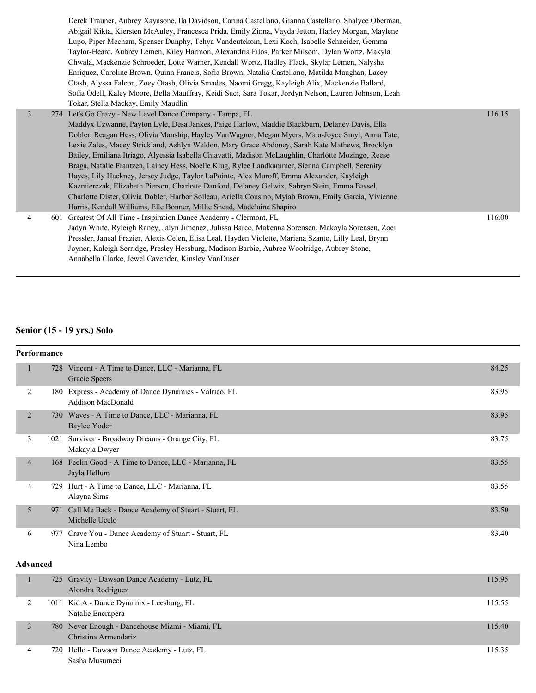|                | Derek Trauner, Aubrey Xayasone, Ila Davidson, Carina Castellano, Gianna Castellano, Shalyce Oberman,<br>Abigail Kikta, Kiersten McAuley, Francesca Prida, Emily Zinna, Vayda Jetton, Harley Morgan, Maylene<br>Lupo, Piper Mecham, Spenser Dunphy, Tehya Vandeutekom, Lexi Koch, Isabelle Schneider, Gemma<br>Taylor-Heard, Aubrey Lemen, Kiley Harmon, Alexandria Filos, Parker Milsom, Dylan Wortz, Makyla<br>Chwala, Mackenzie Schroeder, Lotte Warner, Kendall Wortz, Hadley Flack, Skylar Lemen, Nalysha<br>Enriquez, Caroline Brown, Quinn Francis, Sofia Brown, Natalia Castellano, Matilda Maughan, Lacey<br>Otash, Alyssa Falcon, Zoey Otash, Olivia Smades, Naomi Gregg, Kayleigh Alix, Mackenzie Ballard,<br>Sofia Odell, Kaley Moore, Bella Mauffray, Keidi Suci, Sara Tokar, Jordyn Nelson, Lauren Johnson, Leah<br>Tokar, Stella Mackay, Emily Maudlin                                                                                     |        |
|----------------|----------------------------------------------------------------------------------------------------------------------------------------------------------------------------------------------------------------------------------------------------------------------------------------------------------------------------------------------------------------------------------------------------------------------------------------------------------------------------------------------------------------------------------------------------------------------------------------------------------------------------------------------------------------------------------------------------------------------------------------------------------------------------------------------------------------------------------------------------------------------------------------------------------------------------------------------------------|--------|
| $\overline{3}$ | 274 Let's Go Crazy - New Level Dance Company - Tampa, FL<br>Maddyx Uzwanne, Payton Lyle, Desa Jankes, Paige Harlow, Maddie Blackburn, Delaney Davis, Ella<br>Dobler, Reagan Hess, Olivia Manship, Hayley VanWagner, Megan Myers, Maia-Joyce Smyl, Anna Tate,<br>Lexie Zales, Macey Strickland, Ashlyn Weldon, Mary Grace Abdoney, Sarah Kate Mathews, Brooklyn<br>Bailey, Emiliana Itriago, Alyessia Isabella Chiavatti, Madison McLaughlin, Charlotte Mozingo, Reese<br>Braga, Natalie Frantzen, Lainey Hess, Noelle Klug, Rylee Landkammer, Sienna Campbell, Serenity<br>Hayes, Lily Hackney, Jersey Judge, Taylor LaPointe, Alex Muroff, Emma Alexander, Kayleigh<br>Kazmierczak, Elizabeth Pierson, Charlotte Danford, Delaney Gelwix, Sabryn Stein, Emma Bassel,<br>Charlotte Dister, Olivia Dobler, Harbor Soileau, Ariella Cousino, Myiah Brown, Emily Garcia, Vivienne<br>Harris, Kendall Williams, Elle Bonner, Millie Snead, Madelaine Shapiro | 116.15 |
| 4              | 601 Greatest Of All Time - Inspiration Dance Academy - Clermont, FL<br>Jadyn White, Ryleigh Raney, Jalyn Jimenez, Julissa Barco, Makenna Sorensen, Makayla Sorensen, Zoei<br>Pressler, Janeal Frazier, Alexis Celen, Elisa Leal, Hayden Violette, Mariana Szanto, Lilly Leal, Brynn<br>Joyner, Kaleigh Serridge, Presley Hessburg, Madison Barbie, Aubree Woolridge, Aubrey Stone,<br>Annabella Clarke, Jewel Cavender, Kinsley VanDuser                                                                                                                                                                                                                                                                                                                                                                                                                                                                                                                 | 116.00 |

# **Senior (15 - 19 yrs.) Solo**

| <b>Performance</b> |      |                                                                                   |       |
|--------------------|------|-----------------------------------------------------------------------------------|-------|
| 1                  | 728  | Vincent - A Time to Dance, LLC - Marianna, FL<br>Gracie Speers                    | 84.25 |
| $\overline{2}$     |      | 180 Express - Academy of Dance Dynamics - Valrico, FL<br><b>Addison MacDonald</b> | 83.95 |
| 2                  |      | 730 Waves - A Time to Dance, LLC - Marianna, FL<br>Baylee Yoder                   | 83.95 |
| 3                  | 1021 | Survivor - Broadway Dreams - Orange City, FL<br>Makayla Dwyer                     | 83.75 |
| $\overline{4}$     | 168  | Feelin Good - A Time to Dance, LLC - Marianna, FL<br>Jayla Hellum                 | 83.55 |
| 4                  | 729  | Hurt - A Time to Dance, LLC - Marianna, FL<br>Alayna Sims                         | 83.55 |
| 5                  | 971  | Call Me Back - Dance Academy of Stuart - Stuart, FL<br>Michelle Ucelo             | 83.50 |
| 6                  | 977  | Crave You - Dance Academy of Stuart - Stuart, FL<br>Nina Lembo                    | 83.40 |
| <b>Advanced</b>    |      |                                                                                   |       |

|   | 725 Gravity - Dawson Dance Academy - Lutz, FL<br>Alondra Rodriguez      | 115.95 |
|---|-------------------------------------------------------------------------|--------|
|   | 1011 Kid A - Dance Dynamix - Leesburg, FL<br>Natalie Encrapera          | 115.55 |
|   | 780 Never Enough - Dancehouse Miami - Miami, FL<br>Christina Armendariz | 115.40 |
| 4 | 720 Hello - Dawson Dance Academy - Lutz, FL<br>Sasha Musumeci           | 115.35 |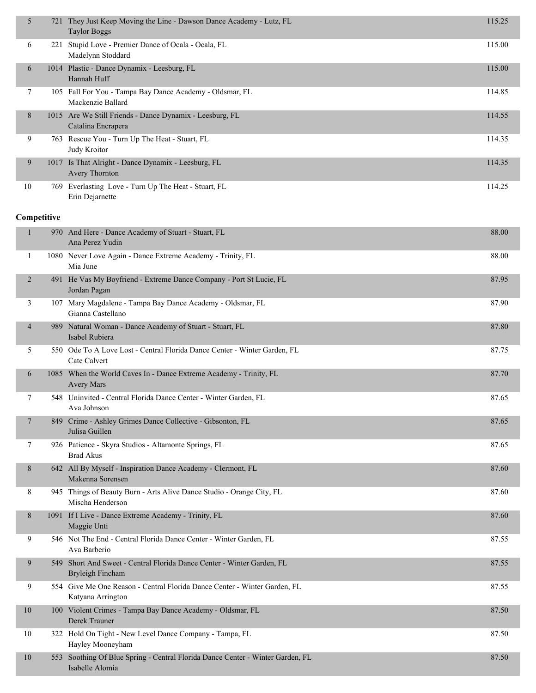| 5  | 721  | They Just Keep Moving the Line - Dawson Dance Academy - Lutz, FL<br>Taylor Boggs | 115.25 |
|----|------|----------------------------------------------------------------------------------|--------|
| 6  | 221  | Stupid Love - Premier Dance of Ocala - Ocala, FL<br>Madelynn Stoddard            | 115.00 |
| 6  |      | 1014 Plastic - Dance Dynamix - Leesburg, FL<br>Hannah Huff                       | 115.00 |
| 7  |      | 105 Fall For You - Tampa Bay Dance Academy - Oldsmar, FL<br>Mackenzie Ballard    | 114.85 |
| 8  |      | 1015 Are We Still Friends - Dance Dynamix - Leesburg, FL<br>Catalina Encrapera   | 114.55 |
| 9  |      | 763 Rescue You - Turn Up The Heat - Stuart, FL<br>Judy Kroitor                   | 114.35 |
| 9  |      | 1017 Is That Alright - Dance Dynamix - Leesburg, FL<br>Avery Thornton            | 114.35 |
| 10 | 769. | Everlasting Love - Turn Up The Heat - Stuart, FL<br>Erin Dejarnette              | 114.25 |

### **Competitive**

| $\mathbf{1}$   | 970 And Here - Dance Academy of Stuart - Stuart, FL<br>Ana Perez Yudin                            | 88.00 |
|----------------|---------------------------------------------------------------------------------------------------|-------|
| 1              | 1080 Never Love Again - Dance Extreme Academy - Trinity, FL<br>Mia June                           | 88.00 |
| $\overline{2}$ | 491 He Vas My Boyfriend - Extreme Dance Company - Port St Lucie, FL<br>Jordan Pagan               | 87.95 |
| 3              | 107 Mary Magdalene - Tampa Bay Dance Academy - Oldsmar, FL<br>Gianna Castellano                   | 87.90 |
| $\overline{4}$ | 989 Natural Woman - Dance Academy of Stuart - Stuart, FL<br>Isabel Rubiera                        | 87.80 |
| 5              | 550 Ode To A Love Lost - Central Florida Dance Center - Winter Garden, FL<br>Cate Calvert         | 87.75 |
| 6              | 1085 When the World Caves In - Dance Extreme Academy - Trinity, FL<br><b>Avery Mars</b>           | 87.70 |
| 7              | 548 Uninvited - Central Florida Dance Center - Winter Garden, FL<br>Ava Johnson                   | 87.65 |
| $\tau$         | 849 Crime - Ashley Grimes Dance Collective - Gibsonton, FL<br>Julisa Guillen                      | 87.65 |
| 7              | 926 Patience - Skyra Studios - Altamonte Springs, FL<br><b>Brad Akus</b>                          | 87.65 |
| 8              | 642 All By Myself - Inspiration Dance Academy - Clermont, FL<br>Makenna Sorensen                  | 87.60 |
| 8              | 945 Things of Beauty Burn - Arts Alive Dance Studio - Orange City, FL<br>Mischa Henderson         | 87.60 |
| 8              | 1091 If I Live - Dance Extreme Academy - Trinity, FL<br>Maggie Unti                               | 87.60 |
| 9              | 546 Not The End - Central Florida Dance Center - Winter Garden, FL<br>Ava Barberio                | 87.55 |
| 9              | 549 Short And Sweet - Central Florida Dance Center - Winter Garden, FL<br>Bryleigh Fincham        | 87.55 |
| 9              | 554 Give Me One Reason - Central Florida Dance Center - Winter Garden, FL<br>Katyana Arrington    | 87.55 |
| 10             | 100 Violent Crimes - Tampa Bay Dance Academy - Oldsmar, FL<br>Derek Trauner                       | 87.50 |
| 10             | 322 Hold On Tight - New Level Dance Company - Tampa, FL<br>Hayley Mooneyham                       | 87.50 |
| 10             | 553 Soothing Of Blue Spring - Central Florida Dance Center - Winter Garden, FL<br>Isabelle Alomia | 87.50 |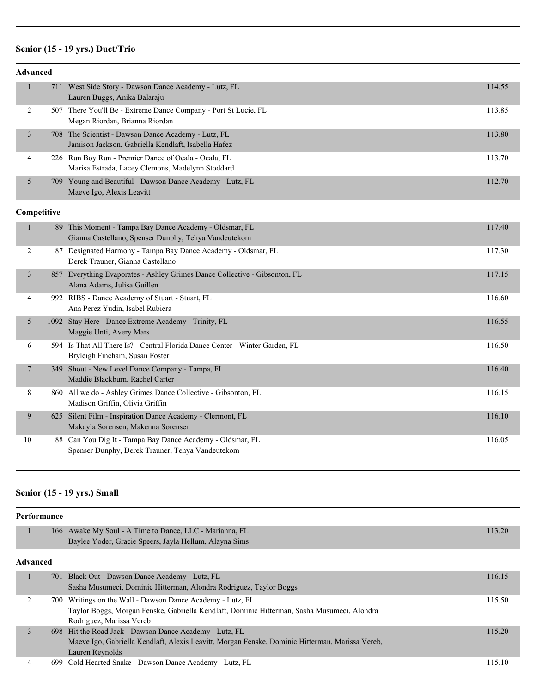### **Senior (15 - 19 yrs.) Duet/Trio**

| <b>Advanced</b> |                                                                                                                |        |
|-----------------|----------------------------------------------------------------------------------------------------------------|--------|
| $\mathbf{1}$    | 711 West Side Story - Dawson Dance Academy - Lutz, FL<br>Lauren Buggs, Anika Balaraju                          | 114.55 |
| 2               | 507 There You'll Be - Extreme Dance Company - Port St Lucie, FL<br>Megan Riordan, Brianna Riordan              | 113.85 |
| $\overline{3}$  | 708 The Scientist - Dawson Dance Academy - Lutz, FL<br>Jamison Jackson, Gabriella Kendlaft, Isabella Hafez     | 113.80 |
| 4               | 226 Run Boy Run - Premier Dance of Ocala - Ocala, FL<br>Marisa Estrada, Lacey Clemons, Madelynn Stoddard       | 113.70 |
| 5               | 709 Young and Beautiful - Dawson Dance Academy - Lutz, FL<br>Maeve Igo, Alexis Leavitt                         | 112.70 |
| Competitive     |                                                                                                                |        |
| $\mathbf{1}$    | 89 This Moment - Tampa Bay Dance Academy - Oldsmar, FL<br>Gianna Castellano, Spenser Dunphy, Tehya Vandeutekom | 117.40 |
| $\overline{2}$  | 87 Designated Harmony - Tampa Bay Dance Academy - Oldsmar, FL<br>Derek Trauner, Gianna Castellano              | 117.30 |
| 3               | 857 Everything Evaporates - Ashley Grimes Dance Collective - Gibsonton, FL<br>Alana Adams, Julisa Guillen      | 117.15 |
| $\overline{4}$  | 992 RIBS - Dance Academy of Stuart - Stuart, FL<br>Ana Perez Yudin, Isabel Rubiera                             | 116.60 |
| 5               | 1092 Stay Here - Dance Extreme Academy - Trinity, FL<br>Maggie Unti, Avery Mars                                | 116.55 |
| 6               | 594 Is That All There Is? - Central Florida Dance Center - Winter Garden, FL<br>Bryleigh Fincham, Susan Foster | 116.50 |
| 7               | 349 Shout - New Level Dance Company - Tampa, FL<br>Maddie Blackburn, Rachel Carter                             | 116.40 |
| 8               | 860 All we do - Ashley Grimes Dance Collective - Gibsonton, FL<br>Madison Griffin, Olivia Griffin              | 116.15 |
| 9               | 625 Silent Film - Inspiration Dance Academy - Clermont, FL<br>Makayla Sorensen, Makenna Sorensen               | 116.10 |
| 10              | 88 Can You Dig It - Tampa Bay Dance Academy - Oldsmar, FL<br>Spenser Dunphy, Derek Trauner, Tehya Vandeutekom  | 116.05 |

# **Senior (15 - 19 yrs.) Small**

|   | <b>Performance</b> |                                                                                                 |        |
|---|--------------------|-------------------------------------------------------------------------------------------------|--------|
|   |                    | 166 Awake My Soul - A Time to Dance, LLC - Marianna, FL                                         | 113.20 |
|   |                    | Baylee Yoder, Gracie Speers, Jayla Hellum, Alayna Sims                                          |        |
|   | <b>Advanced</b>    |                                                                                                 |        |
|   |                    | 701 Black Out - Dawson Dance Academy - Lutz, FL                                                 | 116.15 |
|   |                    | Sasha Musumeci, Dominic Hitterman, Alondra Rodriguez, Taylor Boggs                              |        |
| 2 |                    | 700 Writings on the Wall - Dawson Dance Academy - Lutz, FL                                      | 115.50 |
|   |                    | Taylor Boggs, Morgan Fenske, Gabriella Kendlaft, Dominic Hitterman, Sasha Musumeci, Alondra     |        |
|   |                    | Rodriguez, Marissa Vereb                                                                        |        |
| 3 |                    | 698 Hit the Road Jack - Dawson Dance Academy - Lutz, FL                                         | 115.20 |
|   |                    | Maeve Igo, Gabriella Kendlaft, Alexis Leavitt, Morgan Fenske, Dominic Hitterman, Marissa Vereb, |        |
|   |                    | Lauren Reynolds                                                                                 |        |
| 4 | 699                | Cold Hearted Snake - Dawson Dance Academy - Lutz, FL                                            | 115.10 |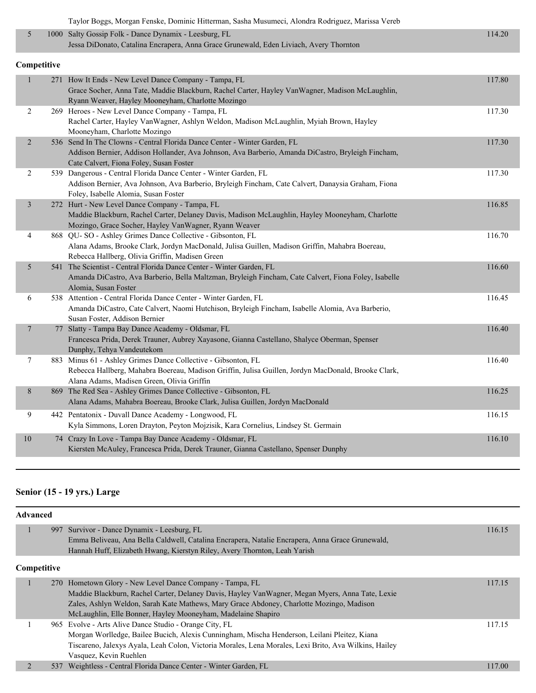| Taylor Boggs, Morgan Fenske, Dominic Hitterman, Sasha Musumeci, Alondra Rodriguez, Marissa Vereb |  |  |
|--------------------------------------------------------------------------------------------------|--|--|
|                                                                                                  |  |  |

| 1000 Salty Gossip Folk - Dance Dynamix - Leesburg, FL                                  | 114.20 |
|----------------------------------------------------------------------------------------|--------|
| Jessa DiDonato, Catalina Encrapera, Anna Grace Grunewald, Eden Liviach, Avery Thornton |        |

#### **Competitive**

| $\mathbf{1}$            | 271 How It Ends - New Level Dance Company - Tampa, FL                                                | 117.80 |
|-------------------------|------------------------------------------------------------------------------------------------------|--------|
|                         | Grace Socher, Anna Tate, Maddie Blackburn, Rachel Carter, Hayley Van Wagner, Madison McLaughlin,     |        |
|                         | Ryann Weaver, Hayley Mooneyham, Charlotte Mozingo                                                    |        |
| 2                       | 269 Heroes - New Level Dance Company - Tampa, FL                                                     | 117.30 |
|                         | Rachel Carter, Hayley VanWagner, Ashlyn Weldon, Madison McLaughlin, Myiah Brown, Hayley              |        |
|                         | Mooneyham, Charlotte Mozingo                                                                         |        |
| $\overline{2}$          | 536 Send In The Clowns - Central Florida Dance Center - Winter Garden, FL                            | 117.30 |
|                         | Addison Bernier, Addison Hollander, Ava Johnson, Ava Barberio, Amanda DiCastro, Bryleigh Fincham,    |        |
|                         | Cate Calvert, Fiona Foley, Susan Foster                                                              |        |
| 2                       | 539 Dangerous - Central Florida Dance Center - Winter Garden, FL                                     | 117.30 |
|                         | Addison Bernier, Ava Johnson, Ava Barberio, Bryleigh Fincham, Cate Calvert, Danaysia Graham, Fiona   |        |
|                         | Foley, Isabelle Alomia, Susan Foster                                                                 |        |
| $\overline{\mathbf{3}}$ | 272 Hurt - New Level Dance Company - Tampa, FL                                                       | 116.85 |
|                         | Maddie Blackburn, Rachel Carter, Delaney Davis, Madison McLaughlin, Hayley Mooneyham, Charlotte      |        |
|                         | Mozingo, Grace Socher, Hayley VanWagner, Ryann Weaver                                                |        |
| 4                       | 868 QU-SO - Ashley Grimes Dance Collective - Gibsonton, FL                                           | 116.70 |
|                         | Alana Adams, Brooke Clark, Jordyn MacDonald, Julisa Guillen, Madison Griffin, Mahabra Boereau,       |        |
|                         | Rebecca Hallberg, Olivia Griffin, Madisen Green                                                      |        |
| 5                       | 541 The Scientist - Central Florida Dance Center - Winter Garden, FL                                 | 116.60 |
|                         | Amanda DiCastro, Ava Barberio, Bella Maltzman, Bryleigh Fincham, Cate Calvert, Fiona Foley, Isabelle |        |
|                         | Alomia, Susan Foster                                                                                 |        |
| 6                       | 538 Attention - Central Florida Dance Center - Winter Garden, FL                                     | 116.45 |
|                         | Amanda DiCastro, Cate Calvert, Naomi Hutchison, Bryleigh Fincham, Isabelle Alomia, Ava Barberio,     |        |
|                         | Susan Foster, Addison Bernier                                                                        |        |
| 7                       | 77 Slatty - Tampa Bay Dance Academy - Oldsmar, FL                                                    | 116.40 |
|                         | Francesca Prida, Derek Trauner, Aubrey Xayasone, Gianna Castellano, Shalyce Oberman, Spenser         |        |
|                         | Dunphy, Tehya Vandeutekom                                                                            |        |
| 7                       | 883 Minus 61 - Ashley Grimes Dance Collective - Gibsonton, FL                                        | 116.40 |
|                         | Rebecca Hallberg, Mahabra Boereau, Madison Griffin, Julisa Guillen, Jordyn MacDonald, Brooke Clark,  |        |
|                         | Alana Adams, Madisen Green, Olivia Griffin                                                           |        |
| 8                       | 869 The Red Sea - Ashley Grimes Dance Collective - Gibsonton, FL                                     | 116.25 |
|                         | Alana Adams, Mahabra Boereau, Brooke Clark, Julisa Guillen, Jordyn MacDonald                         |        |
| 9                       | 442 Pentatonix - Duvall Dance Academy - Longwood, FL                                                 | 116.15 |
|                         | Kyla Simmons, Loren Drayton, Peyton Mojzisik, Kara Cornelius, Lindsey St. Germain                    |        |
|                         |                                                                                                      |        |
| 10                      | 74 Crazy In Love - Tampa Bay Dance Academy - Oldsmar, FL                                             | 116.10 |
|                         | Kiersten McAuley, Francesca Prida, Derek Trauner, Gianna Castellano, Spenser Dunphy                  |        |

### **Senior (15 - 19 yrs.) Large**

| <b>Advanced</b> |                                                                                                       |        |
|-----------------|-------------------------------------------------------------------------------------------------------|--------|
|                 | 997 Survivor - Dance Dynamix - Leesburg, FL                                                           | 116.15 |
|                 | Emma Beliveau, Ana Bella Caldwell, Catalina Encrapera, Natalie Encrapera, Anna Grace Grunewald,       |        |
|                 | Hannah Huff, Elizabeth Hwang, Kierstyn Riley, Avery Thornton, Leah Yarish                             |        |
| Competitive     |                                                                                                       |        |
|                 | 270 Hometown Glory - New Level Dance Company - Tampa, FL                                              | 117.15 |
|                 | Maddie Blackburn, Rachel Carter, Delaney Davis, Hayley VanWagner, Megan Myers, Anna Tate, Lexie       |        |
|                 | Zales, Ashlyn Weldon, Sarah Kate Mathews, Mary Grace Abdoney, Charlotte Mozingo, Madison              |        |
|                 | McLaughlin, Elle Bonner, Hayley Mooneyham, Madelaine Shapiro                                          |        |
|                 | 965 Evolve - Arts Alive Dance Studio - Orange City, FL                                                | 117.15 |
|                 | Morgan Worlledge, Bailee Bucich, Alexis Cunningham, Mischa Henderson, Leilani Pleitez, Kiana          |        |
|                 | Tiscareno, Jalexys Ayala, Leah Colon, Victoria Morales, Lena Morales, Lexi Brito, Ava Wilkins, Hailey |        |
|                 | Vasquez, Kevin Ruehlen                                                                                |        |
| 537             | Weightless - Central Florida Dance Center - Winter Garden, FL                                         | 117.00 |